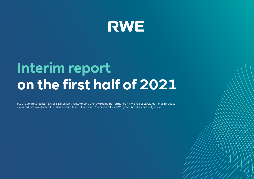

# **Interim report on the first half of 2021**

H1 Group adjusted EBITDA of €1.8 billion // Outstanding energy trading performance // RWE raises 2021 earnings forecast: expected Group adjusted EBITDA between €3.0 billion and €3.4 billion // First RWE green bond successfully issued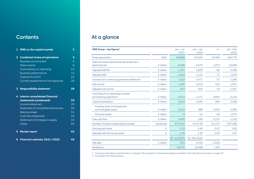# **Contents**

| 1                       | <b>RWE on the capital market</b>     | 3               |
|-------------------------|--------------------------------------|-----------------|
| $\overline{\mathbf{2}}$ | <b>Combined review of operations</b> | 4               |
|                         | <b>Business environment</b>          | $\overline{4}$  |
|                         | Major events                         | 8               |
|                         | Commentary on reporting              | 12              |
|                         | <b>Business performance</b>          | 14              |
|                         | Outlook for 2021                     | 25              |
|                         | Current assessment of risk exposure  | 26              |
| 3                       | <b>Responsibility statement</b>      | 28              |
| 4                       | Interim consolidated financial       |                 |
|                         | statements (condensed)               | 29              |
|                         | Income statement                     | 29              |
|                         | Statement of comprehensive income    | $\overline{3Q}$ |
|                         | <b>Balance sheet</b>                 | 31              |
|                         | Cash flow statement                  | 33              |
|                         | Statement of changes in equity       | 34              |
|                         | <b>Notes</b>                         | 35              |
| 5                       | <b>Review report</b>                 | 45              |
| 6                       | Financial calendar 2021 / 2022       | 46              |

# At a glance

Î.

| RWE Group - key figures <sup>1</sup>                             |                    | $Jan - Jun$<br>2021 | $Jan - Jun$<br>2020 | $+/-$    | $Jan - Dec$<br>2020 |
|------------------------------------------------------------------|--------------------|---------------------|---------------------|----------|---------------------|
| Power generation                                                 | GWh                | 80,898              | 64,504              | 16,394   | 146,775             |
| External revenue (excluding natural gas tax/<br>electricity tax) | $\epsilon$ million | 8,448               | 6,475               | 1,973    | 13,688              |
| <b>Adjusted EBITDA</b>                                           | $\epsilon$ million | 1,751               | 1,833               | $-82$    | 3,286               |
| <b>Adjusted EBIT</b>                                             | $\epsilon$ million | 1,042               | 1,113               | $-71$    | 1,823               |
| Income from continuing operations before tax                     | $\epsilon$ million | 1,522               | 1,471               | 51       | 1,265               |
| Net income                                                       | $\epsilon$ million | 1,432               | 1,013               | 419      | 1,051               |
| Adjusted net income                                              | $\epsilon$ million | 870                 | 816                 | 54       | 1,257               |
| Cash flows from operating activities<br>of continuing operations | $\epsilon$ million | 5,012               | 1,171               | 3,841    | 4,125               |
| Capital expenditure                                              | $\epsilon$ million | 2,004               | 1,040               | 964      | 3,358               |
| Property, plant and equipment<br>and intangible assets           | $\epsilon$ million | 2,012               | 988                 | 1,024    | 2,285               |
| <b>Financial assets</b>                                          | $\epsilon$ million | $-8$                | 52                  | $-60$    | 1,073               |
| Free cash flow                                                   | $\epsilon$ million | 3,405               | 248                 | 3,157    | 1,132               |
| Number of shares outstanding (average)                           | thousands          | 676,220             | 614,745             | 61,475   | 637,286             |
| Earnings per share                                               | €                  | 2.12                | 1.65                | 0.47     | 1.65                |
| Adjusted net income per share                                    | €                  | 1.29                | 1.33                | $-0.04$  | 1.97                |
|                                                                  |                    | 30 Jun 2021         | 31 Dec 2020         |          |                     |
| Net debt                                                         | $\epsilon$ million | 903                 | 4,432               | $-3,529$ |                     |
| Workforce <sup>2</sup>                                           |                    | 19,075              | 19,498              | $-423$   |                     |

1 Some prior-year figures restated due to a change in the recognition of renewable energy tax benefits in the USA (see commentary on [page 13\)](#page-12-0).

2 Converted to full-time positions.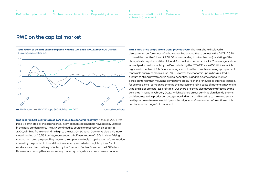**[6](#page-45-0)** [Financial calendar 2021 / 2022](#page-45-0)

# <span id="page-2-0"></span>RWE on the capital market

**Total return of the RWE share compared with the DAX and STOXX Europe 600 Utilities** % (average weekly figures)



**DAX records half-year return of 13 % thanks to economic recovery.** Although 2021 was initially dominated by the corona crisis, international stock markets have already ushered in the post-pandemic era. The DAX continued its course for recovery which began in 2020, climbing from one all-time high to the next. On 30 June, Germany's blue-chip index closed trading at 15,531 points, representing a half-year return of 13 %. In view of rising vaccination rates, the prevailing hope on the capital market is a rapid easing of the situation caused by the pandemic. In addition, the economy recorded a tangible upturn. Stock markets were also positively affected by the European Central Bank and the US Federal Reserve maintaining their expansionary monetary policy despite an increase in inflation.

**RWE share price drops after strong previous year.** The RWE share displayed a disappointing performance after having ranked among the strongest in the DAX in 2020. It closed the month of June at €30.56, corresponding to a total return (consisting of the change in share price and the dividend) for the first six months of – 9 %. Therefore, our share was outperformed not only by the DAX but also by the STOXX Europe 600 Utilities, which registered a decline of 1 %. Financial analysts confirm the attractive earnings prospects of renewable energy companies like RWE. However, the economic upturn has resulted in a return to strong investment in cyclical securities. In addition, some capital market participants fear that mounting competitive pressure on the renewables business (caused, for example, by oil companies entering the market) and rising costs of materials may make wind and solar projects less profitable. Our share price was also adversely affected by the cold snap in Texas in February 2021, which weighed on our earnings significantly. Storms and sleet resulted in production outages at wind farms and forced us to make extremely costly purchases to meet electricity supply obligations. More detailed information on this can be found on [page 8](#page-7-0) of this report.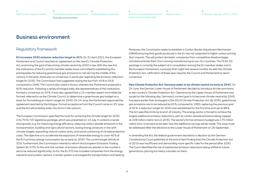**[3](#page-27-0)** [Responsibility statement](#page-27-0) Combined review of operations Business environment

**[6](#page-45-0)** [Financial calendar 2021 / 2022](#page-45-0)

# <span id="page-3-0"></span>Business environment

**2**

#### Regulatory framework

**EU increases 2030 emission reduction target to 55 %.** On 21 April 2021, the European Parliament and Council reached an agreement on the new EU Climate Protection Act, enshrining the goal of becoming climate neutral by 2050 in law. With the new Act, the institutions of the EU and its member states have committed to establishing the prerequisites for reducing greenhouse gas emissions to net zero by the middle of the century. In the past, there was no consensus, in particular regarding the emission reduction target for 2030. The Commission had suggested raising the bar from 40 % to 55 % compared to 1990. The Council also voted in favour, whereas the Parliament proposed a 60 % reduction. Following a series of trilogue talks, the representatives of the institutions formed a consensus on 55 %. It was also agreed that a 15-member expert committee be formed, referred to as the Climate Council, to determine a greenhouse gas budget as a basis for formulating an interim target for 2040. On 24 June, the Parliament approved the agreement reached by the trilogue. Formal acceptance from the Council came on 25 June, and the Act will probably enter into force in the autumn.

The European Commission specified the tools for achieving the climate target for 2030 in its 'Fit for 55' legislative package, which was presented on 14 July. It contains a series of proposals, e. g. for improving energy efficiency, reducing carbon dioxide emissions in the transportation, building and agricultural sectors, taxing energy products in line with climate targets, expanding natural carbon sinks, and social cushioning of climate protection costs. The objective is to accelerate the expansion of renewable energy to cover 40 % of the EU's primary energy consumption by as early as 2030. The current target stands at 32 %. Furthermore, the Commission intends to reform the European Emissions Trading System (EU ETS). To this end, the number of emission allowances placed on the market is set to be reduced significantly. So far, the EU ETS has included companies from the energy, industrial and aviation sectors. A similar system is envisaged for transportation and heating.

Moreover, the Commission seeks to establish a Carbon Border Adjustment Mechanism (CBAM) ensuring that goods produced in the EU are not subjected to higher carbon pricing than imports. This will protect domestic companies from competitive disadvantages and disincentivise them from moving manufacturing to non-EU countries. The Fit for 55 package is currently the subject of a consultation among the EU member states and in the European Parliament, a process that might last several months. As with the Climate Protection Act, ratification of these laws requires the Council and Parliament to reach consensus.

#### **New Climate Protection Act: Germany seeks to be climate neutral as early as 2045.** On

24 June, the German Lower House of Parliament decided to introduce stricter provisions to the country's Climate Protection Act. Clearance by the Upper House of Parliament was issued on the following day. Germany's current goal is to become climate neutral by 2045, five years earlier than envisaged in the 2019 Climate Protection Act. By 2030, greenhouse gas emissions are to be reduced by 65 % compared to 1990, replacing the previous goal of 55 %. A reduction target for 2040 was established for the first time and set at 88 %. The Act specifies limits by branch of industry. The energy sector is forced to achieve the largest additional emission reductions, with its carbon dioxide emissions being capped at 108 million metric tons in 2030. The sector's former emission budget was 175 million metric tons. It remains to be seen how the additional savings will be made. This issue must be addressed after the elections to the Lower House of Parliament on 26 September.

In amending the Act, the federal government reacted to a decision by the German Constitutional Court published at the end of April finding that the Climate Protection Act of 2019 was insufficient and demanding more specific rules for the period after 2030. The Court identified the risk of substantial emission reductions being shifted to future generations, placing too heavy a burden on them.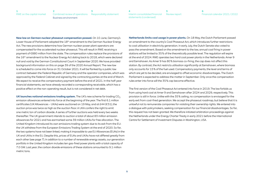**[6](#page-45-0)** [Financial calendar 2021 / 2022](#page-45-0)

<span id="page-4-0"></span>**New law on German nuclear phaseout compensation passed.** On 10 June, Germany's Lower House of Parliament adopted the 18<sup>th</sup> amendment to the German Nuclear Energy Act. The new provisions determine how German nuclear power plant operators are compensated for the accelerated nuclear phaseout. This will result in RWE receiving a payment of €880 million from the state. The compensation rules replace the provisions of the 16<sup>th</sup> amendment to the Nuclear Energy Act dating back to 2018, which were declared null and void by the German Constitutional Court in September 2020. We have provided background information on this on page 39 of the 2020 Annual Report. The new law is scheduled to come into force on 31 October 2021. It will be flanked by a public law contract between the Federal Republic of Germany and the operator companies, which was approved by the Federal Cabinet and signed by the contracting parties at the end of March. We expect to receive the compensatory payment before the end of 2021. In the half-year financial statements, we have already recorded a corresponding receivable, which has a positive effect on the non-operating result, but is not considered in net debt.

**UK launches national emissions trading system.** The UK's new scheme for trading CO<sub>2</sub> emission allowances entered into force at the beginning of the year. The first 6.1 million certificates (UK Allowances – UKAs) were auctioned on 19 May, and at £44 ( $\epsilon$ 51), the auction price was twice as high as the auction floor. A UKA confers the right to emit one metric ton of carbon dioxide. A series of further auctions was held every two weeks thereafter. The UK government intends to auction a total of about 83 million emission allowances for 2021 and has earmarked some 39 million UKAs for free allocation. The United Kingdom introduced its own emissions trading system due to its exit from the EU: the UK withdrew from the European Emissions Trading System at the end of 2020. So far, the two systems have not been linked, making it impossible to use EU Allowances (EUAs) in the UK and UKAs in the EU. Despite this, prices of EUAs and UKAs have not differed greatly from each other (see [page 7](#page-6-0)). In addition to a number of renewable energy assets, our generation portfolio in the United Kingdom includes ten gas-fired power plants with a total capacity of 7.0 GW. Last year, the carbon dioxide emissions of these stations amounted to 9.1 million metric tons.

**Netherlands limits coal usage in power plants.** On 18 May, the Dutch Parliament passed an amendment to the country's Coal Phaseout Act, which introduces further restrictions to coal utilisation in electricity generation. In early July, the Dutch Senate also voted to pass the amendment. Based on the amendment to the law, annual coal firing in power stations will be limited to 35 % of the theoretically possible level. The regulation will expire at the end of 2024. RWE operates two hard coal power plants in the Netherlands: Amer 9 and Eemshaven. As Amer 9 has 80 % biomass co-firing, the cap does not affect this station. By contrast, the Act restricts utilisation significantly at Eemshaven, where biomass only accounts for 15 % of the fuel used. Compensatory payments, the level and terms of which are yet to be decided, are envisaged to offset economic disadvantages. The Dutch Parliament is expected to address the matter in September. Only once the compensation rules enter into force will the 35 % cap become effective.

The first version of the Coal Phaseout Act entered into force in 2019. The law forbids us from using hard coal at Amer 9 and Eemshaven after 2024 and 2029, respectively. This provision is still in force. Unlike with the 35 % ceiling, no compensation is envisaged for the early exit from coal-fired generation. We accept the phaseout roadmap, but believe that it is unlawful not to remunerate companies for violating their ownership rights. We entered into a dialogue with policymakers, seeking compensation for our financial disadvantages. So far, this request has not been granted. We therefore initiated arbitration proceedings against the Netherlands under the Energy Charter Treaty in early 2021 before the International Centre for Settlement of Investment Disputes in Washington, USA.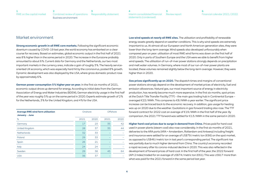**[6](#page-45-0)** [Financial calendar 2021 / 2022](#page-45-0)

#### Market environment

**Strong economic growth in all RWE core markets.** Following the significant economic downturn caused by COVID-19 last year, the world economy has embarked on a clear course for recovery. Based on estimates, global economic output in the first half of 2021 was 8 % higher than in the same period in 2020. The increase in the Eurozone probably amounted to about 6 %. Current data for Germany and the Netherlands, our two most important markets in the currency area, indicate a gain of roughly 3 %. The heavily serviceoriented UK economy, which was especially hard hit by the coronavirus, posted 8 % growth. Dynamic development was also displayed by the USA, where gross domestic product rose by approximately 6 %.

**German power consumption 5 % higher year on year.** In the first six months of 2021, economic output drove up demand for energy. According to initial data from the German Association of Energy and Water Industries (BDEW), German electricity usage in the first half of the year was roughly 5 % up on the same period in 2020. Experts estimate growth of 2 % for the Netherlands, 3 % for the United Kingdom, and 4 % for the USA.

| <b>Average RWE wind farm utilisation</b><br>January - June |      | Onshore | Offshore |      |  |
|------------------------------------------------------------|------|---------|----------|------|--|
| %                                                          | 2021 | 2020    | 2021     | 2020 |  |
| Germany                                                    | 17   | 23      | 35       | 42   |  |
| United Kingdom                                             | 28   | 37      | 35       | 44   |  |
| <b>Netherlands</b>                                         | 32   | 33      |          |      |  |
| Poland                                                     | 29   | 33      |          |      |  |
| Spain                                                      | 26   | 21      |          |      |  |
| Italy                                                      | 24   | 24      |          |      |  |
| Sweden                                                     | 29   | 38      | 45       | 64   |  |
| <b>USA</b>                                                 | 36   | 37      |          |      |  |

**Low wind speeds at nearly all RWE sites.** The utilisation and profitability of renewable energy assets greatly depend on weather conditions. This is why wind speeds are extremely important to us. At almost all our European and North American generation sites, they were lower than the long-term average. Wind speeds also developed unfavourably when compared year on year: utilisation of most RWE wind farms was down on the first half of 2020. Only in parts of Southern Europe and the USA were we able to benefit from higher wind speeds. The utilisation of run-of-river power stations strongly depends on precipitation and melt water volumes. In Germany, where most of our run-of-river power plants are located, these volumes remained slightly below the long-term average. However, they were higher than in 2020.

**Gas prices significantly up on 2020.** The dispatch times and margins of conventional power stations strongly depend on the development of market prices of electricity, fuel and emission allowances. Natural gas, our most important source of energy in electricity production, has recently become much more expensive. In the first six months, spot prices at the Dutch Title Transfer Facility (TTF) – the main gas trading hub in Continental Europe – averaged €22 / MWh. This compares to €8 / MWh a year earlier. The significant price increase can be traced back to the economic recovery. In addition, gas usage for heating was up on 2020 due to the weather. Quotations in gas forward trading also rose. The TTF forward contract for 2022 cost an average of €19 / MWh in the first half of the year. By comparison, the 2021 TTF forward was settled for €13 / MWh in the same period in 2020.

**Higher hard coal prices due to surge in demand from China.** Prices paid for hard coal used in power plants (steam coal) also rose considerably. In the first six months of 2021, deliveries to the ARA ports (ARA = Amsterdam, Rotterdam and Antwerp) including freight and insurance were settled for an average of US\$79 / metric ton (€66) on the spot market, as opposed to US\$46 / metric ton in last year's corresponding period. The significant rise was partially due to much higher demand from China. The country's economy recorded a rapid recovery after its corona-induced decline in 2020. This was also reflected in the development of forward prices of hard coal. In the first half of the year, the 2022 forward (API 2 Index) traded for an average of US\$74 / metric ton (€61). This was US\$17 more than what was paid for the 2021 forward in the same period last year.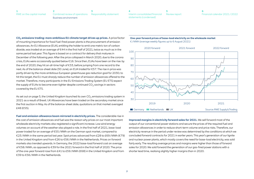<span id="page-6-0"></span>

| RWE on the capital market Combined review of operations Responsibility statement |  |
|----------------------------------------------------------------------------------|--|
| Business environment                                                             |  |

**CO2 emissions trading: more ambitious EU climate target drives up prices.** A price factor of mounting importance for fossil fuel-fired power plants is the procurement of emission allowances. An EU Allowance (EUA), entitling the holder to emit one metric ton of carbon dioxide, was traded at an average of €44 in the first half of 2021, twice as much as in the same period last year. This figure is based on a contract for delivery that matures in December of the following year. After the price collapsed in March 2020, due to the corona crisis, EUAs were occasionally quoted below €16. Since then, EUAs have been on the rise: by the end of 2020, they hit an all-time high of €33, before jumping from one record to the next. As of the balance-sheet date (30 June), an EUA traded for €57. The rise in price was partly driven by the more ambitious European greenhouse gas reduction goal for 2030; to hit this target, the EU must sharply reduce the number of emission allowances offered to the market. Therefore, many participants in the EU Emissions Trading System (EU ETS) expect the supply of EUAs to become even tighter despite continued  $CO<sub>2</sub>$  savings in sectors covered by the EU ETS.

As set out on [page 5,](#page-4-0) the United Kingdom launched its own  $CO<sub>2</sub>$  emissions trading system in 2021 as a result of Brexit. UK Allowances have been traded on the secondary market since the first auction in May. As of the balance-sheet date, quotations on that market averaged £48 (€55).

**Fuel and emission allowance boom mirrored in electricity prices.** The considerable rise in the cost of emission allowances and fuel was the reason why prices on our most important wholesale electricity markets also registered a significant increase. Low wind energy volumes on account of the weather also played a role. In the first half of 2021, base-load power traded for an average of €55 / MWh on the German spot market, compared to €23 / MWh in the same period last year. Spot prices advanced from £28 to £69 / MWh (€79) in the United Kingdom and from €26 to €56 / MWh in the Netherlands. Prices on forward markets also trended upwards. In Germany, the 2022 base-load forward cost an average of €58 / MWh, as opposed to €39 for the 2021 forward in the first half of 2020. The price of the one-year forward rose from £41 to £59 / MWh (€68) in the United Kingdom and from €39 to €56 / MWh in the Netherlands.

#### **One-year forward prices of base-load electricity on the wholesale market**

€ / MWh (average weekly figures up to 6 August 2021)



**Improved margins in electricity forward sales for 2021.** We sell forward most of the output of our conventional power stations and secure the prices of the required fuel and emission allowances in order to reduce short-term volume and price risks. Therefore, our electricity revenue in the period under review was determined by the conditions at which we concluded forward contracts for 2021 in earlier years. This year's generation of our lignite and nuclear power plants, which mostly covers the need for base-load electricity, was sold fairly early. The resulting average prices and margins were higher than those of forward sales for 2020. We sold forward the generation of our gas-fired power stations with a shorter lead time, realising slightly higher margins than in 2020.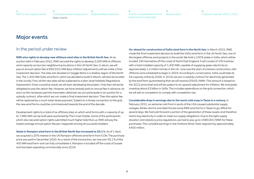**[3](#page-27-0)** [Responsibility statement](#page-27-0) **[2](#page-3-0)** [Combined review of operations](#page-3-0) Major events

**[5](#page-44-0)** [Review report](#page-44-0) **[4](#page-28-0)** [Interim consolidated financial](#page-28-0)  [statements \(condensed\)](#page-28-0)

**[6](#page-45-0)** [Financial calendar 2021 / 2022](#page-45-0)

# <span id="page-7-0"></span>Major events

#### In the period under review

**RWE wins rights to develop new offshore wind sites in the British North Sea.** At an auction held in February 2021, RWE secured the rights to develop 3,000 MW of offshore wind capacity across two neighbouring locations in the UK North Sea. In return, we will pay an annual option fee of £82,552 / MW (plus inflation adjustment) until we make a final investment decision. The sites are situated on Dogger Bank in a shallow region of the North Sea. The 1,400 MW Sofia wind farm, which we decided to build in March, will also be located in the vicinity. First, all the new sites will be subjected to a plan-level Habitats Regulations Assessment. Given a positive result, we will start developing the project. Only then will we be obligated to pay the option fee. However, we have already paid an annual fee in advance. As soon as the necessary permits have been obtained, we can participate in an auction for a subsidy contract, after which we can make a final investment decision. Then the option fee will be replaced by a much lower lease payment. Subject to a timely connection to the grid, the new wind farms could be commissioned towards the end of the decade.

Development rights to a total of six offshore sites on which wind farms with a capacity of up to 7,980 MW can be built were auctioned by The Crown Estate. Some of the participants which also secured option rights submitted much higher bids than us. RWE will pay the lowest average annual option fee per megawatt among all successful bidders.

**Stake in Rampion wind farm in the British North Sea increased to 50.1 %.** As of 1 April, we acquired a 20 % interest in the UK Rampion offshore wind farm from E.ON. The purchase price was paid in December 2020. As a result of the transaction, we now own 50.1 % of the 400 MW wind farm and can fully consolidate it. Rampion is located off the coast of Sussex and has been operating commercially since 2018.

**Go-ahead for construction of Sofia wind farm in the North Sea.** In March 2021, RWE made the final investment decision to build the Sofia wind farm in the UK North Sea, one of the largest offshore wind projects in the world. We hold a 100 % stake in Sofia, which will be located 195 kilometres off the coast of North East England. It will consist of 100 turbines with a total installed capacity of 1,400 MW, capable of supplying green electricity to approximately 1.2 million homes in the UK. June saw the start of onshore construction, with offshore work scheduled to begin in 2023. According to current plans, Sofia could take its full capacity online by 2026. In 2019, we won a subsidy contract for electricity generated by the wind farm guaranteeing that we will receive £39.65 / MWh. This amount is based on the 2012 price level and will be subject to an upward adjustment for inflation. We anticipate investing about £3 billion in Sofia. This includes expenditure on the grid connection, which we will sell on completion to comply with competition law.

#### **Considerable drop in earnings due to the worst cold snap in Texas in a century.** In

February 2021, an extreme cold front in parts of the USA caused substantial supply outages. Winter storms and sleet forced some RWE wind farms in Texas to go offline for several days. We had sold forward a portion of the generation of these assets and therefore had to buy electricity in order to meet our supply obligations. Due to the tight supply situation and statutory price regulations, we had to pay up to US\$9,000 / MWh for these purchases. This curtailed earnings in the Onshore Wind / Solar segment by approximately €400 million.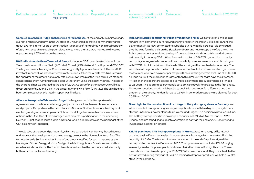**[6](#page-45-0)** [Financial calendar 2021 / 2022](#page-45-0)

<span id="page-8-0"></span>**Completion of Scioto Ridge onshore wind farm in the US.** At the end of May, Scioto Ridge, our first onshore wind farm in the US state of Ohio, started operating commercially after about two-and-a-half years of construction. It consists of 75 turbines with a total capacity of 250 MW, enough to supply green electricity to more than 60,000 homes. We invested approximately €270 million in the project.

**RWE sells stakes in three Texan wind farms.** In January 2021, we divested shares in our Texan onshore wind farms Stella (201 MW), Cranell (220 MW) and East Raymond (200 MW). The buyers are a subsidiary of Canadian energy utility Algonquin Power & Utilities and UK investor Greencoat, which took interests of 51 % and 24 % in the wind farms. RWE remains the operator of the assets. As we only retain 25 % ownership of the wind farms, we stopped consolidating them fully and instead account for them using the equity method. The sale of the shareholdings was agreed at the end of 2020. As part of the transaction, we will also divest stakes of 51 % and 24 % in the West Raymond wind farm (240 MW). The sale had not been completed when this interim report was finalised.

**Alliances to expand offshore wind forged.** In May, we concluded two partnership agreements with multinational energy groups for the joint implementation of offshore wind projects. Our partner in the first alliance is National Grid Ventures, a subsidiary of UK electricity and gas network operator National Grid. Together, we will explore investment options in the USA. One of the envisaged joint projects is participation in the upcoming New York Bight seabed lease auction. National Grid is already active in the northeast of the USA as a network operator.

The objective of the second partnership, which we concluded with Norway-based Equinor and Hydro, is the development of a wind energy project in the Norwegian North Sea. The targeted area is Sørlige Nordsjø II, one of two areas classified for such purposes by the Norwegian Oil and Energy Ministry. Sørlige Nordsjø II neighbours Danish waters and has excellent wind conditions. The favourable site would enable the partners to sell electricity both within and outside of Norway.

**RWE wins subsidy contract for Polish offshore wind farm.** We have taken a major step forward in implementing our first wind energy project in the Polish Baltic Sea. In April, the government in Warsaw committed to subsidise our FEW Baltic II project. It is envisaged that the wind farm be built on the Słupsk sandbank and have a capacity of 350 MW. The Polish government established the legal framework for subsidising offshore wind power just recently, in January 2021. Wind farms with a total of 5.9 GW in generation capacity can qualify for regulated compensation in an initial phase. We were successful in doing so with FEW Baltic II. A decision on the level of the subsidy will be reached at a later date. The subsidies will be granted in the form of two-sided contracts for difference which guarantee that we receive a fixed payment per megawatt hour for the generation volume of 100,000 full load hours. If the market price is lower than this amount, the state pays the difference. If it is higher, the operators are obliged to make a payment. The subsidy period is limited to 25 years. The guaranteed payment is set administratively for projects in the first phase. Thereafter, auctions decide which projects qualify for contracts for difference and the amount of the subsidy. Tenders for up to 2.5 GW in generation capacity are planned for both 2025 and 2027.

**Green light for the construction of two large battery storage systems in Germany.** We will contribute to safeguarding security of supply in future with two high-capacity battery storage units at our power plant sites in Werne and Lingen. This decision was taken in June. The battery storage units have envisaged capacities of 79 MWh (Werne) and 49 MWh (Lingen) and are scheduled to go into operation as early as the end of 2022. We intend to invest some €50 million in total.

**KELAG purchases RWE hydropower plants in France.** Austrian energy utility KELAG acquired twelve French hydroelectric power stations from us, which have a total installed capacity of 45 MW. The transaction was concluded at the end of April. We signed the corresponding contract in December 2020. The agreement also includes KELAG buying several hydroelectric power plants and several wind turbines in Portugal from us. These assets have a combined capacity of 20 MW (RWE's pro-rata share). They are scheduled to be transferred during this year. KELAG is a leading hydropower producer. We hold a 37.9 % stake in the company.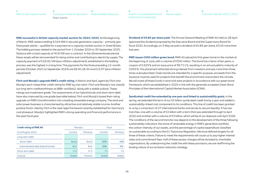<span id="page-9-0"></span>**RWE successful in British capacity market auction for 2024 / 2025.** At the beginning of March, RWE assets totalling 6,544 MW in secured generation capacity – primarily gasfired power plants – qualified for a payment at a capacity market auction in Great Britain. The bidding process related to the period from 1 October 2024 to 30 September 2025. Stations with a total capacity of 40.8 GW won a contract. In the aforementioned period, these assets will be remunerated for being online and contributing to electricity supply. The capacity payment of £18.00 / kW (plus inflation adjustment), established in the bidding process, was the highest in a long time. The payments for the three preceding 12-month periods (October 2021 to September 2024) are £8.40, £6.44 and £15.97 (plus inflation adjustment).

**Fitch and Moody's upgrade RWE's credit rating.** In March and April, agencies Fitch and Moody's each raised their credit rating for RWE by one notch. Fitch and Moody's now classify our long-term creditworthiness as BBB+ and Baa2, along with a stable outlook. These ratings are investment grade. The assessments of our hybrid bonds and short-term debt have also improved by one grade (see table below). Fitch and Moody's based their rating upgrade on RWE's transformation into a leading renewable energy company. The wind and solar power business is characterised by attractive and relatively stable income. Another positive factor cited by Fitch is the clear legal framework recently established for Germany's coal phaseout. Moody's highlighted RWE's strong operating and financial performance in the past fiscal year.

| <b>Credit rating of RWE AG</b>   |               | Moody's         | <b>Fitch</b> |            |  |
|----------------------------------|---------------|-----------------|--------------|------------|--|
| As of August 2021                | Current       | Previous        | Current      | Previous   |  |
| Long-term debt                   |               |                 |              |            |  |
| Senior debt                      | Baa2          | Baa3            | BBB+         | <b>BBB</b> |  |
| Subordinated debt (hybrid bonds) | Ba1           | Ba <sub>2</sub> | BBB-         | $BB+$      |  |
| Short-term debt                  | $P-2$         | $P-3$           | F1           | F2         |  |
| Outlook                          | <b>Stable</b> | Positive        | Stable       | Stable     |  |

**Dividend of €0.85 per share paid.** The Annual General Meeting of RWE AG held on 28 April approved the dividend proposed by the Executive Board and the Supervisory Board for fiscal 2020. Accordingly, on 3 May we paid a dividend of €0.85 per share, €0.05 more than last year.

**RWE issues €500 million green bond.** RWE AG placed its first green bond on the market at the beginning of June, with a volume of €500 million. The bond has a tenor of ten years, a coupon of 0.625 % and an issue price of 99.711 %, resulting in an annual yield to maturity of 0.655 %. The placement attracted strong interest from investors and was more than three times oversubscribed. Green bonds are intended for a specific purpose: proceeds from the issuance must be used for projects that benefit the environment and protect the climate. We will invest all these funds in wind and solar projects in accordance with our green bond framework, which we established in 2020 in line with the generally accepted Green Bond Principles of the International Capital Market Association (ICMA).

**Syndicated credit line extended by one year and linked to sustainability goals.** In the spring, we extended the term of our €5 billion syndicated credit line by a year and added a sustainability-linked cost component to its conditions. This line of credit has been granted to us by a consortium of 27 international banks and serves to secure liquidity. It has two tranches: one with a volume of €2 billion with a term that was extended through to April 2022 and another with a volume of €3 billion, which will be at our disposal until April 2026. The conditions of the second tranche now depend on the development of the three following sustainability indicators: the share of renewable energy in RWE's generation portfolio, the carbon intensity of our assets, and the percentage of capital expenditure classified as sustainable according to the EU Taxonomy Regulation. We have defined targets for all three of these criteria. Failure to meet the requirements will cause us to pay higher interest rates and commitment fees. Half of these excess charges will be donated to charitable organisations. By underpinning the credit line with these provisions, we are reaffirming the binding nature of our emission reduction strategy.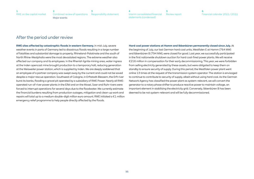#### After the period under review

**RWE sites affected by catastrophic floods in western Germany.** In mid-July, severe weather events in parts of Germany led to disastrous floods resulting in a large number of fatalities and substantial damage to property. Rhineland-Palatinate and the south of North Rhine-Westphalia were the most devastated regions. The extreme weather also affected our company and its employees. In the Rhenish lignite mining area, water ingress at the Inden opencast mine brought production to a temporary halt, reducing generation at the Weisweiler power station, which is supplied by Inden. We are deeply saddened that an employee of a partner company was swept away by the current and could not be saved despite a major rescue operation. Southwest of Cologne, in Erftstadt-Blessem, the Erft river burst its banks, flooding a gravel pit operated by a subsidiary of RWE Power. Nearly all RWEoperated run-of-river power plants in the Eifel and on the Mosel, Saar and Ruhr rivers were forced to interrupt operations for several days due to the floodwater. We currently estimate the financial burdens resulting from production outages, mitigation and clean-up work and repairs will total up to a medium double-digit million euro amount. RWE initiated a €1 million emergency relief programme to help people directly affected by the floods.

#### **Hard coal power stations at Hamm and Ibbenbüren permanently closed since July.** At the beginning of July, our last German hard coal units, Westfalen E at Hamm (764 MW) and Ibbenbüren B (794 MW), were closed for good. Last year, we successfully participated in the first nationwide shutdown auction for hard coal-fired power plants. We will receive

€216 million in compensation for their early decommissioning. This year, we were forbidden from selling electricity generated by these assets, but were obligated to keep them on standby to ensure security of supply. During this period, the Westfalen power plant went online 13 times at the request of the transmission system operator. The station is envisaged to continue to contribute to security of supply, albeit without using hard coal. As the German Network Agency has classified the power plant as system-relevant, we will convert the generator to a rotary phase shifter to produce reactive power to maintain voltage, an important element in stabilising the electricity grid. Conversely, Ibbenbüren B has been deemed to be not system-relevant and will be fully decommissioned.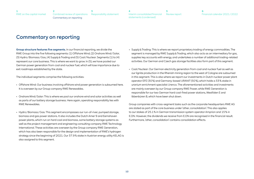**[3](#page-27-0)** [Responsibility statement](#page-27-0) [Combined review of operations](#page-3-0) Commentary on reporting

# <span id="page-11-0"></span>Commentary on reporting

**[2](#page-3-0)**

**Group structure features five segments.** In our financial reporting, we divide the RWE Group into the five following segments: (1) Offshore Wind, (2) Onshore Wind / Solar, (3) Hydro / Biomass / Gas, (4) Supply & Trading and (5) Coal / Nuclear. Segments (1) to (4) represent our core business. This is where we want to grow. In (5), we have pooled our German power generation from coal and nuclear fuel, which will lose importance due to exit roadmaps established by the state.

The individual segments comprise the following activities:

- Offshore Wind: Our business involving offshore wind power generation is subsumed here. It is overseen by our Group company RWE Renewables.
- Onshore Wind / Solar: This is where we pool our onshore wind and solar activities as well as parts of our battery storage business. Here again, operating responsibility lies with RWE Renewables.
- Hydro / Biomass / Gas: This segment encompasses our run-of-river, pumped storage, biomass and gas power stations. It also includes the Dutch Amer 9 and Eemshaven power plants, which run on hard coal and biomass, some battery storage systems as well as the project management and engineering consulting company RWE Technology International. These activities are overseen by the Group company RWE Generation, which has also been responsible for the design and implementation of RWE's hydrogen strategy since the beginning of 2021. Our 37.9 % stake in Austrian energy utility KELAG is also assigned to this segment.
- Supply & Trading: This is where we report proprietary trading of energy commodities. The segment is managed by RWE Supply & Trading, which also acts as an intermediary for gas, supplies key accounts with energy, and undertakes a number of additional trading-related activities. Our German and Czech gas storage facilities also form part of this segment.
- Coal / Nuclear: Our German electricity generation from coal and nuclear fuel as well as our lignite production in the Rhenish mining region to the west of Cologne are subsumed in this segment. This is also where we report our investments in Dutch nuclear power plant operator EPZ (30 %) and Germany-based URANIT (50 %), which holds a 33 % stake in uranium enrichment specialist Urenco. The aforementioned activities and investments are mainly overseen by our Group company RWE Power, while RWE Generation is responsible for our two German hard coal-fired power stations, Westfalen E and Ibbenbüren B, which have been shut down.

Group companies with cross-segment tasks such as the corporate headquarters RWE AG are stated as part of the core business under 'other, consolidation'. This also applies to our stakes of 25.1 % in German transmission system operator Amprion and 15 % in E.ON. However, the dividends we receive from E.ON are recognised in the financial result. Furthermore, 'other, consolidation' contains consolidation effects.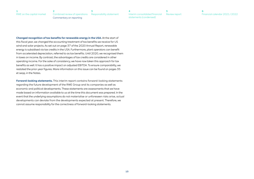**[6](#page-45-0)** [Financial calendar 2021 / 2022](#page-45-0)

<span id="page-12-0"></span>**Changed recognition of tax benefits for renewable energy in the USA.** At the start of this fiscal year, we changed the accounting treatment of tax benefits we receive for US wind and solar projects. As set out on page 37 of the 2020 Annual Report, renewable energy is subsidised via tax credits in the USA. Furthermore, plant operators can benefit from accelerated depreciation, referred to as tax benefits. Until 2020, we recognised them in taxes on income. By contrast, the advantages of tax credits are considered in other operating income. For the sake of consistency, we have now taken this approach for tax benefits as well. It has a positive impact on adjusted EBITDA. To ensure comparability, we restated the prior-year figures. More information on this issue can be found on [pages 35](#page-34-0)  [et seqq.](#page-34-0) in the Notes.

**Forward-looking statements.** This interim report contains forward-looking statements regarding the future development of the RWE Group and its companies as well as economic and political developments. These statements are assessments that we have made based on information available to us at the time this document was prepared. In the event that the underlying assumptions do not materialise or unforeseen risks arise, actual developments can deviate from the developments expected at present. Therefore, we cannot assume responsibility for the correctness of forward-looking statements.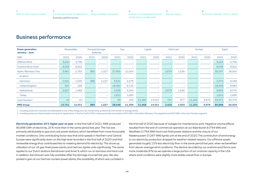# <span id="page-13-0"></span>Business performance

| <b>Power generation</b><br>January - June |        | <b>Renewables</b>        |      | Pumped storage,<br><b>batteries</b> |        | Gas                      |        | Lignite                  |       | Hard coal                |        | <b>Nuclear</b>           | Total <sup>1</sup> |        |
|-------------------------------------------|--------|--------------------------|------|-------------------------------------|--------|--------------------------|--------|--------------------------|-------|--------------------------|--------|--------------------------|--------------------|--------|
| GWh                                       | 2021   | 2020                     | 2021 | 2020                                | 2021   | 2020                     | 2021   | 2020                     | 2021  | 2020                     | 2021   | 2020                     | 2021               | 2020   |
| Offshore Wind                             | 3,224  | 3,706                    |      | $\overline{\phantom{a}}$            |        | $\overline{\phantom{0}}$ |        | $\overline{\phantom{a}}$ |       | <b>-</b>                 |        | $\overline{\phantom{a}}$ | 3,224              | 3,706  |
| Onshore Wind/Solar                        | 8,556  | 8,922                    |      | $\overline{\phantom{a}}$            |        | $\overline{\phantom{0}}$ |        | $\overline{\phantom{0}}$ |       | $\sim$                   |        | $\overline{\phantom{a}}$ | 8,556              | 8,922  |
| Hydro / Biomass / Gas                     | 3,961  | 2,793                    | 885  | 1,027                               | 27,955 | 21,054                   |        | -                        | 2,679 | 1,526                    |        | $\overline{\phantom{a}}$ | 35,547             | 26,500 |
| of which:                                 |        |                          |      |                                     |        |                          |        |                          |       |                          |        |                          |                    |        |
| Germany <sup>2</sup>                      | 1,001  | 1,040                    | 885  | 1,027                               | 3,521  | 4,279                    |        | -                        |       | <b>-</b>                 |        | $\overline{\phantom{a}}$ | 5,474              | 6,446  |
| United Kingdom                            | 297    | 268                      |      | $\overline{\phantom{a}}$            | 18,062 | 9,716                    |        | $\overline{\phantom{0}}$ |       | $\sim$                   |        | $\overline{\phantom{a}}$ | 18,359             | 9,984  |
| <b>Netherlands</b>                        | 2,627  | 1,485                    |      | $\overline{\phantom{a}}$            | 4,559  | 5,364                    |        | $\overline{\phantom{0}}$ | 2,679 | 1,526                    |        | $\overline{\phantom{a}}$ | 9,865              | 8,375  |
| <b>Turkey</b>                             |        | $\overline{\phantom{0}}$ |      | $\overline{\phantom{a}}$            | 1,813  | 1,695                    |        | -                        |       | $\overline{\phantom{a}}$ |        | $\overline{\phantom{a}}$ | 1,813              | 1,695  |
| Coal/Nuclear <sup>2</sup>                 | 10     | 10                       |      | $\overline{\phantom{a}}$            | 93     | 255                      | 21,468 | 14,331                   | 747   | 977                      | 11,202 | 9,976                    | 33,571             | 25,376 |
| <b>RWE Group</b>                          | 15,751 | 15,431                   | 885  | 1,027                               | 28,048 | 21,309                   | 21,468 | 14,331                   | 3,426 | 2,503                    | 11,202 | 9,976                    | 80,898             | 64,504 |

1 Including production volumes not attributable to any of the energy sources mentioned (e. g. electricity from waste-to-energy plants).

2 Including power purchases based on long-term agreements. In the first half of 2021, these purchases amounted to 954 GWh in the Hydro / Biomass / Gas segment and 603 GWh in the Coal / Nuclear segment.

**Electricity generation 25 % higher year on year**. In the first half of 2021, RWE produced 80,898 GWh of electricity, 25 % more than in the same period last year. The rise was primarily attributable to gas and coal power stations, which benefited from more favourable market conditions. One contributing factor was that wind speeds in Northern and Central Europe were significantly down on the high level recorded in the first half of 2020 and that renewable energy thus contributed less to meeting demand for electricity. This drove up utilisation of our UK gas-fired power plants and German lignite units significantly. The same applies to our Dutch stations Eemshaven and Amer 9, which run on biomass and hard coal. In addition, Eemshaven was fully available after fire damage incurred last year. We also posted a gain at our German nuclear power plants, the availability of which was curtailed in

the first half of 2020 because of outages for maintenance work. Negative volume effects resulted from the end of commercial operation at our Ibbenbüren B (794 MW) and Westfalen E (764 MW) hard coal-fired power stations and the closure of our Niederaussem D (297 MW) lignite unit at the end of 2020. The contribution of wind energy to our electricity production dropped for weather-related reasons. Our offshore assets generated roughly 13 % less electricity than in the same period last year, when we benefited from above-average wind conditions. The decline recorded by our onshore wind farms was more moderate (6 %) as we operate a large portion of our onshore capacity in the USA where wind conditions were slightly more stable overall than in Europe.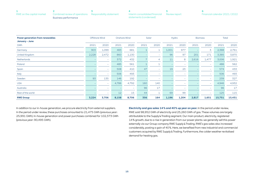| RWE on the capital market Combined review of operations Responsibility statement |  |
|----------------------------------------------------------------------------------|--|
| Business performance                                                             |  |

| <b>Power generation from renewables</b><br>January - June |                          | Offshore Wind            |       | Onshore Wind             |      | Solar                    |       | Hydro                    |       | <b>Biomass</b>           | <b>Total</b> |        |
|-----------------------------------------------------------|--------------------------|--------------------------|-------|--------------------------|------|--------------------------|-------|--------------------------|-------|--------------------------|--------------|--------|
| GWh                                                       | 2021                     | 2020                     | 2021  | 2020                     | 2021 | 2020                     | 2021  | 2020                     | 2021  | 2020                     | 2021         | 2020   |
| Germany                                                   | 903                      | 1,099                    | 483   | 681                      |      | $\mathbf{1}$             | 1,001 | 977                      |       | 3                        | 2,388        | 2,761  |
| United Kingdom                                            | 2,228                    | 2,472                    | 860   | 1,130                    |      | $\overline{\phantom{m}}$ | 96    | 97                       | 201   | 171                      | 3,385        | 3,870  |
| Netherlands                                               |                          | $\overline{\phantom{a}}$ | 372   | 432                      |      | 4                        | 11    | 8                        | 2,616 | 1,477                    | 3,006        | 1,921  |
| Poland                                                    |                          | $\overline{\phantom{a}}$ | 485   | 561                      |      | $\mathbf{1}$             |       | $\overline{\phantom{m}}$ |       | $\overline{\phantom{a}}$ | 486          | 562    |
| Spain                                                     |                          | $\sim$                   | 508   | 410                      | 47   | $\overline{\phantom{m}}$ | 19    | 23                       |       | $\overline{\phantom{a}}$ | 574          | 433    |
| Italy                                                     |                          | $\sim$                   | 506   | 493                      |      | $\overline{\phantom{0}}$ |       | $\overline{\phantom{0}}$ |       | $\overline{\phantom{a}}$ | 506          | 493    |
| Sweden                                                    | 93                       | 135                      | 146   | 192                      |      | $\overline{\phantom{0}}$ |       | $\overline{\phantom{a}}$ |       | $\sim$                   | 239          | 327    |
| <b>USA</b>                                                |                          | $\sim$                   | 4,786 | 4,792                    | 160  | 140                      |       | $\overline{\phantom{a}}$ |       | $\sim$                   | 4,946        | 4,932  |
| Australia                                                 |                          | $\overline{\phantom{a}}$ |       | $\overline{\phantom{a}}$ | 96   | 17                       |       | $\overline{\phantom{a}}$ |       | $\sim$                   | 96           | 17     |
| Rest of the world                                         | $\overline{\phantom{m}}$ | $\overline{\phantom{a}}$ | 12    | 15                       | 44   | $\mathbf 1$              | 69    | 99                       |       | $\overline{\phantom{a}}$ | 125          | 115    |
| <b>RWE Group</b>                                          | 3,224                    | 3,706                    | 8,158 | 8,706                    | 356  | 164                      | 1,196 | 1,204                    | 2,817 | 1,651                    | 15,751       | 15,431 |

In addition to our in-house generation, we procure electricity from external suppliers. In the period under review, these purchases amounted to 21,475 GWh (previous year: 25,991 GWh). In-house generation and power purchases combined for 102,373 GWh (previous year: 90,495 GWh).

**Electricity and gas sales 14 % and 40 % up year on year.** In the period under review, RWE sold 98,952 GWh of electricity and 25,260 GWh of gas. These volumes are largely attributable to the Supply & Trading segment. Our main product, electricity, registered 14 % growth, due to a rise in generation from our power plants: we generally sell this power externally via our Group company RWE Supply & Trading. RWE's gas sales also increased considerably, posting a gain of 40 %. Here, we benefited from new industrial and commercial customers acquired by RWE Supply & Trading. Furthermore, the colder weather revitalised demand for heating gas.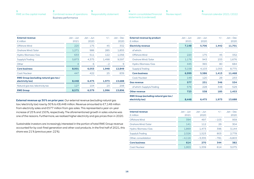<span id="page-15-0"></span>

| RWE on the capital market Combined review of operations Responsibility statement |  |
|----------------------------------------------------------------------------------|--|
| Business performance                                                             |  |

| <b>External revenue</b><br>$\epsilon$ million                    | Jan – Jun<br>2021 | $Jan - Jun$<br>2020 | $+/-$ | $Jan - Dec$<br>2020 |
|------------------------------------------------------------------|-------------------|---------------------|-------|---------------------|
| Offshore Wind                                                    | 220               | 175                 | 45    | 332                 |
| Onshore Wind / Solar                                             | 1,271             | 986                 | 285   | 1,855               |
| Hydro / Biomass / Gas                                            | 633               | 511                 | 122   | 1,056               |
| Supply & Trading                                                 | 5,873             | 4,375               | 1,498 | 9,597               |
| Other                                                            | $\overline{4}$    | 6                   | $-2$  | 9                   |
| <b>Core business</b>                                             | 8,001             | 6,053               | 1,948 | 12,849              |
| Coal/Nuclear                                                     | 447               | 422                 | 25    | 839                 |
| <b>RWE Group (excluding natural gas tax/</b><br>electricity tax) | 8,448             | 6,475               | 1,973 | 13,688              |
| Natural gas tax/electricity tax                                  | 127               | 104                 | 23    | 208                 |
| <b>RWE Group</b>                                                 | 8.575             | 6.579               | 1.996 | 13.896              |

**External revenue up 30 % on prior year.** Our external revenue (excluding natural gas tax / electricity tax) rose by 30 % to €8,448 million. Revenue amounted to €7,148 million from electricity sales and €577 million from gas sales. This represented a year-on-year increase of 25 % and 150 %, respectively. The aforementioned growth in sales volume was one of the reasons. Furthermore, we realised higher electricity and gas prices than in 2020.

Sustainable investors are increasingly interested in the portion of total RWE Group revenue accounted for by coal-fired generation and other coal products. In the first half of 2021, this share was 21 % (previous year: 22 %).

| <b>External revenue by product</b>           | $Jan - Jun$ | $Jan - Jun$ | $+/-$ | $Jan - Dec$ |
|----------------------------------------------|-------------|-------------|-------|-------------|
| $\epsilon$ million                           | 2021        | 2020        |       | 2020        |
| <b>Electricity revenue</b>                   | 7,148       | 5,706       | 1,442 | 11,701      |
| of which:                                    |             |             |       |             |
| Offshore Wind                                | 220         | 175         | 45    | 332         |
| Onshore Wind / Solar                         | 1,176       | 943         | 233   | 1,676       |
| Hydro / Biomass / Gas                        | 445         | 365         | 80    | 684         |
| Supply & Trading                             | 5,158       | 4,103       | 1,055 | 8,775       |
| <b>Core business</b>                         | 6,999       | 5,586       | 1,413 | 11,468      |
| Coal/Nuclear                                 | 149         | 120         | 29    | 233         |
| <b>Gas revenue</b>                           | 577         | 231         | 346   | 534         |
| of which: Supply & Trading                   | 576         | 228         | 348   | 529         |
| <b>Other revenue</b>                         | 723         | 538         | 185   | 1,453       |
| <b>RWE Group (excluding natural gas tax/</b> |             |             |       |             |
| electricity tax)                             | 8,448       | 6.475       | 1,973 | 13,688      |

**[5](#page-44-0)**

[Review report](#page-44-0)

| <b>Internal revenue</b><br>$\epsilon$ million | $Jan - Jun$<br>2021 | $Jan - Jun$<br>2020 | $+/-$  | $Jan - Dec$<br>2020 |
|-----------------------------------------------|---------------------|---------------------|--------|---------------------|
| Offshore Wind                                 | 394                 | 497                 | $-103$ | 959                 |
| Onshore Wind / Solar                          | 141                 | 112                 | 29     | 304                 |
| Hydro / Biomass / Gas                         | 1,869               | 1.473               | 396    | 3.144               |
| Supply & Trading                              | 2,326               | 1,523               | 803    | 2.778               |
| Other, consolidation                          | $-4.116$            | $-3.335$            | $-781$ | $-6.803$            |
| <b>Core business</b>                          | 614                 | 270                 | 344    | 382                 |
| Coal/Nuclear                                  | 1,953               | 1,339               | 614    | 3.075               |

**[4](#page-28-0)**

[Interim consolidated financial](#page-28-0)  [statements \(condensed\)](#page-28-0)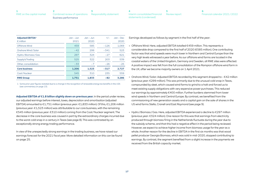| RWE on the capital market Combined review of operations Responsibility statement |  |
|----------------------------------------------------------------------------------|--|
| Business performance                                                             |  |

| <b>Adjusted EBITDA1</b><br>$\epsilon$ million | $Jan - Jun$<br>2021 | $Jan - Jun$<br>2020 | $+/-$  | $Jan - Dec$<br>2020 |
|-----------------------------------------------|---------------------|---------------------|--------|---------------------|
| Offshore Wind                                 | 459                 | 585                 | $-126$ | 1,069               |
| Onshore Wind / Solar                          | $-42$               | 299                 | $-341$ | 523                 |
| Hydro / Biomass / Gas                         | 297                 | 324                 | $-27$  | 621                 |
| Supply & Trading                              | 525                 | 322                 | 203    | 539                 |
| Other, consolidation                          | $-33$               | $-7$                | $-26$  | $-25$               |
| <b>Core business</b>                          | 1,206               | 1,523               | $-317$ | 2,727               |
| Coal/Nuclear                                  | 545                 | 310                 | 235    | 559                 |
| <b>RWE Group</b>                              | 1,751               | 1.833               | $-82$  | 3.286               |

1 Some prior-year figures restated due to a change in the recognition of renewable energy tax benefits in the USA (see commentary on [page 13](#page-12-0)).

**Adjusted EBITDA of €1.8 billion slightly down on previous year.** In the period under review, our adjusted earnings before interest, taxes, depreciation and amortisation (adjusted EBITDA) amounted to €1,751 million (previous year: €1,833 million). Of this, €1,206 million (previous year: €1,523 million) was attributable to our core business, with the remaining €545 million (previous year: €310 million) coming from the Coal / Nuclear segment. The decrease in the core business was caused in part by the extraordinary charges incurred due to the worst cold snap in a century in Texas ([see page 8](#page-7-0)). This was contrasted by an exceptionally strong energy trading performance.

In view of the unexpectedly strong earnings in the trading business, we have raised our earnings forecast for the 2021 fiscal year. More detailed information on this can be found on [page 25.](#page-24-0)

**[5](#page-44-0)** [Review report](#page-44-0) **[4](#page-28-0)** [Interim consolidated financial](#page-28-0)  [statements \(condensed\)](#page-28-0)

**[6](#page-45-0)** [Financial calendar 2021 / 2022](#page-45-0)

Earnings developed as follows by segment in the first half of the year:

- Offshore Wind: Here, adjusted EBITDA totalled €459 million. This represents a considerable drop compared to the first half of 2020 (€585 million). One contributing factor was that wind speeds were much lower in Northern and Central Europe than the very high levels witnessed a year before. As our offshore wind farms are located in the coastal waters of the United Kingdom, Germany and Sweden, all RWE sites were affected. A positive impact was felt from the full consolidation of the Rampion offshore wind farm in the UK, after we become majority owners on 1 April 2021.
- Onshore Wind / Solar: Adjusted EBITDA recorded by this segment dropped to – €42 million (previous year: €299 million). This was primarily due to the unusual cold snap in Texas, compounded by sleet, which caused wind farms to grind to a halt and forced us to meet existing supply obligations with very expensive power purchases. This reduced our earnings by approximately €400 million. Further burdens stemmed from lower wind speeds in Northern and Central Europe. By contrast, we benefited from the commissioning of new generation assets and a capital gain on the sale of shares in the US wind farms Stella, Cranell and East Raymond [\(see page 9\)](#page-8-0).
- Hydro / Biomass / Gas: Here, adjusted EBITDA experienced a decline to €297 million (previous year: €324 million). One reason for this was that earnings from electricity produced through biomass firing in the Netherlands fluctuate during the year due to the subsidy scheme, and that this had a negative effect in the period being reviewed. However, we expect to achieve higher income from biomass usage for the year as a whole. Another reason for the decline in EBITDA in the first six months was that wood pellet producer Georgia Biomass, which was sold in mid-2020, stopped contributing to earnings. By contrast, the segment benefited from a slight increase in the payments we received from the British capacity market.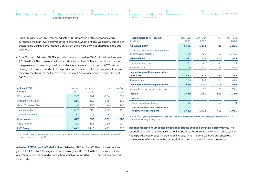| RWE on the capital market Combined review of operations Responsibility statement |  |
|----------------------------------------------------------------------------------|--|
| Business performance                                                             |  |

**[6](#page-45-0)** [Financial calendar 2021 / 2022](#page-45-0)

- Supply & Trading: At €525 million, adjusted EBITDA posted by this segment clearly surpassed the high level achieved a year earlier (€322 million). This was mainly due to our outstanding trading performance. Conversely, there were earnings shortfalls in the gas business.
- Coal / Nuclear: Adjusted EBITDA recorded here improved to €545 million (previous year: €310 million). The main reason for this is that we realised higher wholesale margins for the generation from our lignite-fired and nuclear power stations than in 2020. We had already sold forward nearly all of the production of these plants in earlier years. However, the implementation of the German Coal Phaseout Act weighed on earnings in the first half of 2021.

| <b>Adjusted EBIT1</b><br>$\epsilon$ million | $Jan - Jun$<br>2021 | $Jan - Jun$<br>2020 | $+/-$  | $Jan - Dec$<br>2020 |
|---------------------------------------------|---------------------|---------------------|--------|---------------------|
| Offshore Wind                               | 247                 | 401                 | $-154$ | 697                 |
| Onshore Wind / Solar                        | $-235$              | 110                 | $-345$ | 138                 |
| Hydro / Biomass / Gas                       | 146                 | 155                 | $-9$   | 283                 |
| Supply & Trading                            | 502                 | 300                 | 202    | 496                 |
| Other, consolidation                        | $-33$               | $-8$                | $-25$  | $-25$               |
| <b>Core business</b>                        | 627                 | 958                 | $-331$ | 1.589               |
| Coal/Nuclear                                | 415                 | 155                 | 260    | 234                 |
| <b>RWE Group</b>                            | 1.042               | 1.113               | -71    | 1.823               |

1 Some prior-year figures restated due to a change in the recognition of renewable energy tax benefits in the USA (see commentary on [page 13](#page-12-0)).

**Adjusted EBIT drops to €1,042 million.** Adjusted EBIT totalled €1,042 million (previous year: €1,113 million). This figure differs from adjusted EBITDA in that it does not include operating depreciation and amortisation, which amounted to €709 million (previous year: €720 million).

| Reconciliation to net income <sup>1</sup><br>$\epsilon$ million | $Jan - Jun$<br>2021 | $Jan - Jun$<br>2020 | $+/-$  | $Jan - Dec$<br>2020 |
|-----------------------------------------------------------------|---------------------|---------------------|--------|---------------------|
| <b>Adjusted EBITDA</b>                                          | 1,751               | 1,833               | $-82$  | 3,286               |
| Operating depreciation, amortisation<br>and impairment losses   | $-709$              | $-720$              | 11     | $-1.463$            |
| <b>Adjusted EBIT</b>                                            | 1,042               | 1,113               | $-71$  | 1,823               |
| Non-operating result                                            | 331                 | 662                 | $-331$ | $-104$              |
| <b>Financial result</b>                                         | 149                 | $-304$              | 453    | $-454$              |
| Income from continuing operations                               |                     |                     |        |                     |
| before tax                                                      | 1,522               | 1,471               | 51     | 1,265               |
| Taxes on income                                                 | $-103$              | $-471$              | 368    | $-376$              |
| <b>Income from continuing operations</b>                        | 1,419               | 1,000               | 419    | 889                 |
| Income from discontinued operations                             |                     | 50                  | $-50$  | 221                 |
| <b>Income</b>                                                   | 1,419               | 1,050               | 369    | 1,110               |
| of which:                                                       |                     |                     |        |                     |
| Non-controlling interests                                       | $-13$               | 37                  | $-50$  | 59                  |
| Net income / income attributable<br>to RWE AG shareholders      | 1.432               | 1,013               | 419    | 1,051               |

1 Some prior-year figures restated due to a change in the recognition of renewable energy tax benefits in the USA (see commentary on [page 13\)](#page-12-0).

**Reconciliation to net income: exceptional effects eclipse operating performance.** The reconciliation from adjusted EBIT to net income was characterised by one-off effects, which had a positive net impact. This led to an increase in net income. We have presented the development of the items in the reconciliation statement in the following passages.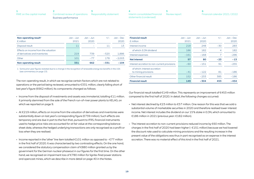| RWE on the capital market Combined review of operations Responsibility statement |  |
|----------------------------------------------------------------------------------|--|
| Business performance                                                             |  |

| 4                                            |  |
|----------------------------------------------|--|
| Interim consolidated financial Review report |  |
| statements (condensed)                       |  |

| - 6                          |
|------------------------------|
| Financial calendar 2021/2022 |

| Non-operating result <sup>1</sup><br>$\epsilon$ million                | Jan – Jun<br>2021 | $Jan - Jun$<br>2020 | $+/-$  | $Jan - Dec$<br>2020 |
|------------------------------------------------------------------------|-------------------|---------------------|--------|---------------------|
| Disposal result                                                        | 11                |                     | 11     | 13                  |
| Effects on income from the valuation<br>of derivatives and inventories | 219               | 739                 | $-520$ | 1.886               |
| Other                                                                  | 101               | $-77$               | 178    | $-2.003$            |
| <b>Non-operating result</b>                                            | 331               | 662                 | -331   | $-104$              |

1 Some prior-year figures restated due to a change in the recognition of renewable energy tax benefits in the USA (see commentary on [page 13](#page-12-0)).

The non-operating result, in which we recognise certain factors which are not related to operations or the period being reviewed, amounted to €331 million, clearly falling short of last year's figure (€662 million). Its components changed as follows:

- Income from the disposal of investments and assets was immaterial, totalling €11 million. It primarily stemmed from the sale of the French run-of-river power plants to KELAG, on which we reported on [page 9](#page-8-0).
- At €219 million, effects on income from the valuation of derivatives and inventories were substantially down on last year's corresponding figure (€739 million). Such effects are temporary and are due in part to the fact that, pursuant to IFRS, financial instruments used to hedge price risks are accounted for at fair value at the corresponding balancesheet date, whereas the hedged underlying transactions are only recognised as a profit or loss when they are realised.
- Income reported in the 'other' line item totalled  $\epsilon$ 101 million as opposed to - $\epsilon$ 77 million in the first half of 2020. It was characterised by two contrasting effects. On the one hand, we considered the statutory compensation claim of €880 million granted us by the government for the German nuclear phaseout in our figures for the first time. On the other hand, we recognised an impairment loss of €780 million for lignite-fired power stations and opencast mines, which we describe in more detail on [page 40](#page-39-0) in the Notes.

| <b>Financial result</b><br>$\epsilon$ million        | $Jan - Jun$<br>2021 | $Jan - Jun$<br>2020 | $+/-$          | $Jan - Dec$<br>2020 |
|------------------------------------------------------|---------------------|---------------------|----------------|---------------------|
| Interest income                                      | 218                 | 248                 | $-30$          | 283                 |
| of which: E.ON dividend                              | 186                 | 182                 | $\overline{4}$ | 182                 |
| Interest expenses                                    | $-161$              | $-168$              |                | $-296$              |
| <b>Net interest</b>                                  | 57                  | 80                  | $-23$          | $-13$               |
| Interest accretion to non-current provisions         | $-60$               | $-151$              | 91             | $-255$              |
| of which: interest accretion<br>to mining provisions | $-41$               | $-122$              | 81             | $-186$              |
| Other financial result                               | 152                 | $-233$              | 385            | $-186$              |
| <b>Financial result</b>                              | 149                 | $-304$              | 453            | -454                |

Our financial result totalled €149 million. This represents an improvement of €453 million compared to the first half of 2020. In detail, the following changes occurred:

- Net interest declined by €23 million to €57 million. One reason for this was that we sold a substantial volume of marketable securities in 2020 and therefore realised lower interest income. Net interest includes the dividend on our 15 % stake in E.ON, which amounted to €186 million in 2021 (previous year: €182 million).
- The interest accretion to non-current provisions reduced income by €60 million. The charges in the first half of 2020 had been higher (– €151 million) because we had lowered the discount rate used to calculate mining provisions and the resulting increase in the present value of the obligations was thus in part recognised as an expense in the interest accretion. There was no material effect of this kind in the first half of 2021.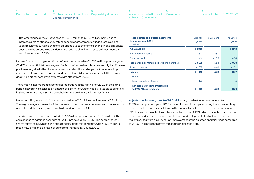| RWE on the capital market Combined review of operations Responsibility statement |  |
|----------------------------------------------------------------------------------|--|
| Business performance                                                             |  |

| 4                                            |  |
|----------------------------------------------|--|
| Interim consolidated financial Review report |  |
| statements (condensed)                       |  |

• The 'other financial result' advanced by €385 million to €152 million, mainly due to interest claims relating to a tax refund for earlier assessment periods. Moreover, last year's result was curtailed by a one-off effect: due to the turmoil on the financial markets caused by the coronavirus pandemic, we suffered significant losses on investments in securities in March 2020.

Income from continuing operations before tax amounted to  $\epsilon$ 1,522 million (previous year: €1,471 million). At 7 % (previous year: 32 %) our effective tax rate was unusually low. This was predominantly due to the aforementioned tax refund for earlier years. A counteracting effect was felt from an increase in our deferred tax liabilities caused by the UK Parliament adopting a higher corporation tax rate with effect from 2023.

There was no income from discontinued operations in the first half of 2021. In the same period last year, we disclosed an amount of €50 million, which was attributable to our stake in Slovak energy utility VSE. The shareholding was sold to E.ON in August 2020.

Non-controlling interests in income amounted to -€13 million (previous year: €37 million). The negative figure is a result of the aforementioned rise in our deferred tax liabilities, which also affected the minority owners of RWE wind farms in the UK.

The RWE Group's net income totalled €1,432 million (previous year: €1,013 million). This corresponds to earnings per share of €2.12 (previous year: €1.65). The number of RWE shares outstanding, which is the basis for calculating this key figure, was 676.2 million. It rose by 61.5 million as a result of our capital increase in August 2020.

| <b>Reconciliation to adjusted net income</b><br>January - June 2021<br>$\epsilon$ million | Original<br>figures | Adjustment | Adjusted<br>figures |
|-------------------------------------------------------------------------------------------|---------------------|------------|---------------------|
| <b>Adjusted EBIT</b>                                                                      | 1,042               |            | 1,042               |
| Non-operating result                                                                      | 331                 | $-331$     |                     |
| Financial result                                                                          | 149                 | $-183$     | $-34$               |
| Income from continuing operations before tax                                              | 1,522               | $-514$     | 1,008               |
| Taxes on income                                                                           | $-103$              | $-48$      | $-151$              |
| <b>Income</b>                                                                             | 1,419               | $-562$     | 857                 |
| of which:                                                                                 |                     |            |                     |
| Non-controlling interests                                                                 | $-13$               |            | $-13$               |
| Net income / income attributable<br>to RWE AG shareholders                                | 1.432               | $-562$     | 870                 |
|                                                                                           |                     |            |                     |

**Adjusted net income grows to €870 million.** Adjusted net income amounted to €870 million (previous year: €816 million). It is calculated by deducting the non-operating result as well as major special items in the financial result from net income according to IFRS. Instead of the actual tax rate, we applied a rate of 15 %, which is oriented towards the expected medium-term tax burden. The positive development of adjusted net income mainly resulted from a €106 million improvement of the adjusted financial result compared to 2020. This more than offset the decline in adjusted EBIT.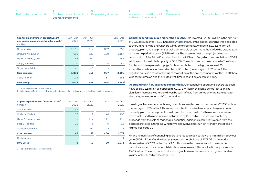| RWE on the capital market Combined review of operations Responsibility statement |  |
|----------------------------------------------------------------------------------|--|
| Business performance                                                             |  |

| Capital expenditure on property, plant<br>and equipment and on intangible assets <sup>1</sup><br>$\epsilon$ million | $Jan - Jun$<br>2021 | $Jan - Jun$<br>2020 | $+/-$          | $Jan - Dec$<br>2020 |
|---------------------------------------------------------------------------------------------------------------------|---------------------|---------------------|----------------|---------------------|
| Offshore Wind                                                                                                       | 1,181               | 314                 | 867            | 756                 |
| Onshore Wind / Solar                                                                                                | 630                 | 521                 | 109            | 1.154               |
| Hydro / Biomass / Gas                                                                                               | 68                  | 61                  | 7              | 153                 |
| Supply & Trading                                                                                                    | 20                  | 16                  | $\overline{4}$ | 43                  |
| Other, consolidation                                                                                                | $-1$                | $-1$                |                |                     |
| <b>Core business</b>                                                                                                | 1,898               | 911                 | 987            | 2,106               |
| Coal/Nuclear                                                                                                        | 114                 | 77                  | 37             | 183                 |
| <b>RWE Group</b>                                                                                                    | 2.012               | 988                 | 1.024          | 2.285 <sup>2</sup>  |

1 Table only shows cash investments.

2 Including a – €4 million consolidation effect between the core business and the Coal / Nuclear segment.

| Capital expenditure on financial assets $1$<br>$\epsilon$ million | $Jan - Jun$<br>2021 | $Jan - Jun$<br>2020 | $+/-$  | $Jan - Dec$<br>2020 |
|-------------------------------------------------------------------|---------------------|---------------------|--------|---------------------|
| Offshore Wind                                                     | $-39$               | $\overline{2}$      | $-41$  | 520                 |
| Onshore Wind / Solar                                              | 13                  | 19                  | $-6$   | 408                 |
| Hydro / Biomass / Gas                                             | 6                   | 117                 | $-111$ | 115                 |
| Supply & Trading                                                  | 12                  | 6                   | 6      | 18                  |
| Other, consolidation                                              |                     | $-92$               | 92     | 11                  |
| <b>Core business</b>                                              | -8                  | 52                  | $-60$  | 1,072               |
| Coal/Nuclear                                                      |                     |                     |        |                     |
| <b>RWE Group</b>                                                  | -8                  | 52                  | $-60$  | 1.073               |

1 Table only shows cash investments.

**[5](#page-44-0)** [Review report](#page-44-0) **[4](#page-28-0)** [Interim consolidated financial](#page-28-0)  [statements \(condensed\)](#page-28-0)

**Capital expenditure much higher than in 2020.** We invested €2,004 million in the first half of 2021 (previous year: €1,040 million). A total of 89 % of this capital spending was dedicated to the Offshore Wind and Onshore Wind / Solar segments. We spent €2,012 million on property, plant and equipment as well as intangible assets, more than twice the expenditure in the same period last year (€988 million). The single-largest capex project was the construction of the Triton Knoll wind farm in the UK North Sea, which on completion in 2022 will have a total installed capacity of 857 MW. The option fee paid in advance to The Crown Estate, which is explained on [page 8,](#page-7-0) also contributed to the high capex level. Our expenditure on financial assets totalled – €8 million (previous year: €52 million). The negative figure is a result of the full consolidation of the owner companies of the UK offshore wind farm Rampion and the related first-time recognition of cash on hand.

**Operating cash flow improved substantially.** Our continuing operations generated cash flows of €5,012 million as opposed to €1,171 million in the same period last year. The significant increase was largely driven by cash inflows from variation margins relating to electricity, raw material and  $CO<sub>2</sub>$  derivatives.

Investing activities of our continuing operations resulted in cash outflows of €2,330 million (previous year: €95 million). This was primarily attributable to our capital expenditure on property, plant and equipment as well as on financial assets. Furthermore, we increased plan assets used to meet pension obligations by €1.1 billion. This was contrasted by proceeds from the sale of marketable securities. Additional cash inflows came from the disposal of stakes in three US wind farms and twelve small run-of-river power stations in France (see [page 9](#page-8-0)).

Financing activities of continuing operations led to a cash outflow of  $\epsilon$ 458 million (previous year: €807 million). Our dividend payments to shareholders of RWE AG and minority shareholders of €575 million and €73 million were the main factors. In the reporting period, we issued more financial debt than we redeemed. This resulted in net proceeds of €203 million. The most important financing action was the issuance of a green bond with a volume of €500 million (see [page 10](#page-9-0)).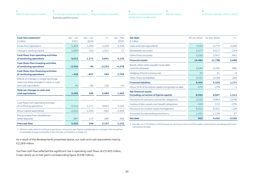| RWE on the capital market Combined review of operations Responsibility statement |  |
|----------------------------------------------------------------------------------|--|
| Business performance                                                             |  |

| -4                                           |  |
|----------------------------------------------|--|
| Interim consolidated financial Review report |  |
| statements (condensed)                       |  |

| Financial calendar 2021/2022 |  |
|------------------------------|--|

| Cash flow statement <sup>1</sup><br>$\epsilon$ million                                                     | $Jan - Jun$<br>2021 | $Jan - Jun$<br>2020 | $+/-$    | $Jan - Dec$<br>2020 |
|------------------------------------------------------------------------------------------------------------|---------------------|---------------------|----------|---------------------|
| Funds from operations                                                                                      | 3,329               | 1.009               | 2,320    | 4,108               |
| Change in working capital                                                                                  | 1,683               | 162                 | 1,521    | 17                  |
| <b>Cash flows from operating activities</b><br>of continuing operations                                    | 5,012               | 1,171               | 3,841    | 4,125               |
| <b>Cash flows from investing activities</b><br>of continuing operations                                    | $-2,330$            | $-95$               | $-2.235$ | $-4,278$            |
| <b>Cash flows from financing activities</b><br>of continuing operations                                    | $-458$              | $-807$              | 349      | 1,769               |
| Effects of changes in foreign exchange<br>rates and other changes in value on cash<br>and cash equivalents | 45                  | $-80$               | 125      | $-34$               |
| Total net changes in cash and<br>cash equivalents                                                          | 2,269               | 189                 | 2,080    | 1,582               |
|                                                                                                            |                     |                     |          |                     |
| Cash flows from operating activities<br>of continuing operations                                           | 5,012               | 1,171               | 3.841    | 4,125               |
| Minus capital expenditure                                                                                  | $-2.004$            | $-1.040$            | $-964$   | $-3.358$            |
| Plus proceeds from divestitures /<br>asset disposals                                                       | 397                 | 117                 | 280      | 365                 |
| <b>Free cash flow</b>                                                                                      | 3,405               | 248                 | 3,157    | 1,132               |

| <b>Net debt</b><br>$\epsilon$ million                                   | 30 Jun 2021 | 31 Dec 2020 | $+/-$    |
|-------------------------------------------------------------------------|-------------|-------------|----------|
| Cash and cash equivalents                                               | 7,043       | 4,774       | 2,269    |
| Marketable securities <sup>1</sup>                                      | 4,273       | 4,517       | $-244$   |
| Other financial assets                                                  | 3,168       | 2,507       | 661      |
| <b>Financial assets</b>                                                 | 14,484      | 11,798      | 2,686    |
| Bonds, other notes payable, bank debt,<br>commercial paper              | 3,045       | 2,160       | 885      |
| Hedging of bond currency risk                                           | 23          | 31          | $-8$     |
| Other financial liabilities                                             | 3,332       | 3,038       | 294      |
| <b>Financial liabilities</b>                                            | 6,400       | 5,229       | 1,171    |
| Minus 50% of the hybrid capital recognised as debt                      | $-276$      | $-278$      | 2        |
| <b>Net financial assets</b><br>(including correction of hybrid capital) | 8,360       | 6,847       | 1,513    |
| Provisions for pensions and similar obligations                         | 2,226       | 3,864       | $-1,638$ |
| Surplus of plan assets over benefit obligations                         | $-448$      | $-172$      | $-276$   |
| Provisions for nuclear waste management                                 | 6,322       | 6,451       | $-129$   |
| Provisions for dismantling wind farms                                   | 1,163       | 1,136       | 27       |
| <b>Net debt</b>                                                         | 903         | 4.432       | $-3,529$ |

1 Excludes our 15 % stake in E.ON because our mining provisions and the assets covering them are disregarded when calculating net debt.

1 All items solely relate to continuing operations; some prior-year figures restated due to a change in the recognition of renewable energy tax benefits in the USA (see commentary on [page 13\)](#page-12-0).

As a result of the developments presented above, our cash and cash equivalents rose by €2,269 million.

Our free cash flow reflected the significant rise in operating cash flows. At €3,405 million, it was clearly up on last year's corresponding figure (€248 million).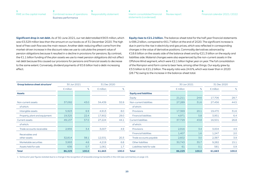| RWE on the capital market Combined review of operations Responsibility statement |  |
|----------------------------------------------------------------------------------|--|
| Business performance                                                             |  |

**[6](#page-45-0)** [Financial calendar 2021 / 2022](#page-45-0)

**Significant drop in net debt.** As of 30 June 2021, our net debt totalled €903 million, which was €3,529 million less than the amount on our books as of 31 December 2020. The high level of free cash flow was the main reason. Another debt-reducing effect came from the market-driven increase in the discount rates we use to calculate the present value of pension obligations because it resulted in a decline in provisions for pensions. By contrast, the €1.1 billion funding of the plan assets we use to meet pension obligations did not affect net debt because this caused our provisions for pensions and financial assets to decrease to the same extent. Conversely, dividend payments of €0.6 billion had a debt-increasing effect.

**Equity rises to €21.2 billion.** The balance-sheet total for the half-year financial statements is €86.2 billion, compared to €61.7 billion at the end of 2020. The significant increase is due in part to the rise in electricity and gas prices, which was reflected in corresponding changes in the value of derivative positions. Commodity derivatives advanced by €18.6 billion on the assets side of the balance sheet and by €21.3 billion on the equity and liabilities side. Material changes were also experienced by the non-current assets in the Offshore Wind segment, which were €2.1 billion higher year on year. The full consolidation of the Rampion wind farm came to bear here, among other things. Our equity grew by €3.5 billion to €21.2 billion. The equity ratio was 24.6 %, which was lower than in 2020 (28.7 %) owing to the increase in the balance-sheet total.

| Group balance sheet structure <sup>1</sup> | 30 Jun 2021        |       |                    | 31 Dec 2020 |                               |                    | 30 Jun 2021 | 31 Dec 2020        |       |
|--------------------------------------------|--------------------|-------|--------------------|-------------|-------------------------------|--------------------|-------------|--------------------|-------|
|                                            | $\epsilon$ million | %     | $\epsilon$ million | %           |                               | $\epsilon$ million | $\%$        | $\epsilon$ million | %     |
| <b>Assets</b>                              |                    |       |                    |             | <b>Equity and liabilities</b> |                    |             |                    |       |
|                                            |                    |       |                    |             | Equity                        | 21,211             | 24.6        | 17,706             | 28.7  |
| Non-current assets                         | 37,092             | 43.0  | 34,439             | 55.9        | Non-current liabilities       | 27,289             | 31.6        | 27,456             | 44.5  |
| of which:                                  |                    |       |                    |             | of which:                     |                    |             |                    |       |
| Intangible assets                          | 5,923              | 6.9   | 4,913              | 8.0         | Provisions                    | 17,369             | 20.1        | 19,470             | 31.6  |
| Property, plant and equipment              | 19,325             | 22.4  | 17,902             | 29.0        | <b>Financial liabilities</b>  | 4,971              | 5.8         | 3,951              | 6.4   |
| Current assets                             | 49,137             | 57.0  | 27,224             | 44.1        | <b>Current liabilities</b>    | 37,729             | 43.8        | 16,501             | 26.8  |
| of which:                                  |                    |       |                    |             | of which:                     |                    |             |                    |       |
| Trade accounts receivable                  | 2,955              | 3.4   | 3,007              | 4.9         | Provisions                    | 2,916              | 3.4         | 3,004              | 4.9   |
| Receivables and                            |                    |       |                    |             | <b>Financial liabilities</b>  | 1,407              | 1.6         | 1,247              | 2.0   |
| other assets                               | 32,814             | 38.1  | 12,531             | 20.3        | Trade accounts payable        | 2,602              | 3.0         | 2,387              | 3.9   |
| Marketable securities                      | 3,993              | 4.6   | 4,219              | 6.8         | Other liabilities             | 30,743             | 35.7        | 9,282              | 15.1  |
| Assets held for sale                       | 636                | 0.7   | 1,061              | 1.7         | Liabilities held for sale     | 61                 | 0.1         | 581                | 0.9   |
| <b>Total</b>                               | 86,229             | 100.0 | 61,663             | 100.0       | <b>Total</b>                  | 86,229             | 100.0       | 61,663             | 100.0 |

1 Some prior-year figures restated due to a change in the recognition of renewable energy tax benefits in the USA (see commentary on [page 13](#page-12-0)).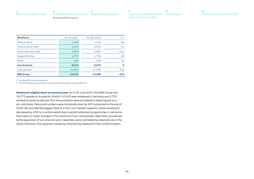| RWE on the capital market Combined review of operations Responsibility statement |  |
|----------------------------------------------------------------------------------|--|
| Business performance                                                             |  |

| - 6                          |  |
|------------------------------|--|
| Financial calendar 2021/2022 |  |

| Workforce <sup>1</sup> | 30 Jun 2021 | 31 Dec 2020 | $+/-$  |
|------------------------|-------------|-------------|--------|
| Offshore Wind          | 1,205       | 1,119       | 86     |
| Onshore Wind/Solar     | 2.426       | 2.402       | 24     |
| Hydro / Biomass / Gas  | 2,566       | 2,667       | $-101$ |
| Supply & Trading       | 1,770       | 1.790       | $-20$  |
| Other <sup>2</sup>     | 445         | 425         | 20     |
| <b>Core business</b>   | 8,412       | 8,403       | 9      |
| Coal/Nuclear           | 10,663      | 11.095      | $-432$ |
| <b>RWE Group</b>       | 19.075      | 19.498      | $-423$ |

1 Converted to full-time positions.

2 This item exclusively comprises employees of the holding company RWE AG.

**Headcount slightly down on previous year.** As of 30 June 2021, the RWE Group had 19,075 people on its payroll, of which 14,343 were employed in Germany and 4,732 worked at locations abroad. Part-time positions were considered in these figures on a pro-rata basis. Personnel numbers were marginally down by 423 compared to the end of 2020. We recorded the biggest decline in the Coal / Nuclear segment, where headcount decreased by 432, to a certain extent due to partial retirement programmes. In net terms, there were no major changes in the workforce in our core business. New hires, occasioned by the expansion of our wind and solar capacities, were contrasted by redundancies in the Hydro / Biomass / Gas segment caused by streamlining measures in the United Kingdom.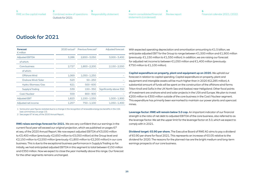# <span id="page-24-0"></span>Outlook for 2021

| <b>Forecast</b><br>$\epsilon$ million |       | $2020$ actual <sup>1</sup> Previous forecast <sup>2</sup> | Adjusted forecast       |
|---------------------------------------|-------|-----------------------------------------------------------|-------------------------|
|                                       |       |                                                           |                         |
| <b>Adjusted EBITDA</b>                | 3.286 | $2,650 - 3,050$                                           | $3,000 - 3,400$         |
| of which:                             |       |                                                           |                         |
| Core business                         | 2,727 | $1,800 - 2,200$                                           | $2,150 - 2,550$         |
| of which:                             |       |                                                           |                         |
| Offshore Wind                         | 1,069 | $1,050 - 1,250$                                           |                         |
| Onshore Wind / Solar                  | 523   | $50 - 250$                                                |                         |
| Hydro / Biomass / Gas                 | 621   | $500 - 600$                                               |                         |
| Supply & Trading                      | 539   | $150 - 350$                                               | Significantly above 350 |
| Coal/Nuclear                          | 559   | $800 - 900$                                               |                         |
| <b>Adjusted EBIT</b>                  | 1,823 | $1,150 - 1,550$                                           | $1,500 - 1,900$         |
| Adjusted net income                   | 1.257 | 750 - 1,100                                               | $1.050 - 1.400$         |

1 Some prior-year figures restated due to a change in the recognition of renewable energy tax benefits in the USA (see commentary on [page 13](#page-12-0)).

2 See pages 67 et seq. of the 2020 Annual Report.

**RWE raises earnings forecast for 2021.** We are very confident that our earnings in the current fiscal year will exceed our original projection, which we published on pages 67 et seq. of the 2020 Annual Report. We now expect adjusted EBITDA of €3,000 million to €3,400 million (previously: €2,650 million to €3,050 million) at the Group level and €2,150 million to €2,550 million (previously: €1,800 million to €2,200 million) in our core business. This is due to the exceptional business performance in Supply & Trading so far. Initially, we had anticipated adjusted EBITDA in this segment to total between €150 million and €350 million. Now we expect to close the year markedly above this range. Our forecast for the other segments remains unchanged.

With expected operating depreciation and amortisation amounting to  $\epsilon$ 1.5 billion, we anticipate adjusted EBIT for the Group to range between €1,500 million and €1,900 million (previously: €1,150 million to €1,550 million). In addition, we are raising our forecast for adjusted net income to between €1,050 million and €1,400 million (previously: €750 million to €1,100 million).

**Capital expenditure on property, plant and equipment up on 2020.** We uphold our forecast in relation to capital spending. Capital expenditure on property, plant and equipment and intangible assets will be much higher than in 2020 (€2,285 million). A substantial amount of funds will be spent on the construction of the offshore wind farms Triton Knoll and Sofia in the UK North Sea and Kaskasi near Heligoland. Other focal points of investment are onshore wind and solar projects in the USA and Europe. We plan to invest €200 million to €300 million outside of the core business in the Coal / Nuclear segment. This expenditure has primarily been earmarked to maintain our power plants and opencast mines.

**Leverage factor: RWE will remain below 3.0 cap.** An important indicator of our financial strength is the ratio of net debt to adjusted EBITDA of the core business, also referred to as the leverage factor. We set the upper limit for the leverage factor at 3.0, which we expect to comply with in 2021.

**Dividend target: €0.90 per share.** The Executive Board of RWE AG aims to pay a dividend of €0.90 per share for fiscal 2021. This represents an increase of €0.05 relative to the dividend for 2020. The reasons for the planned rise are the bright medium and long-term earnings prospects of our core business.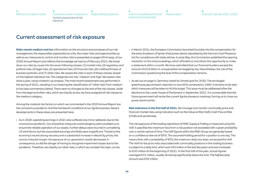**[3](#page-27-0)** [Responsibility statement](#page-27-0) [Combined review of operations](#page-3-0) Current assessment of risk exposure

**[5](#page-44-0)** [Review report](#page-44-0) **[4](#page-28-0)** [Interim consolidated financial](#page-28-0)  [statements \(condensed\)](#page-28-0)

**[6](#page-45-0)** [Financial calendar 2021 / 2022](#page-45-0)

# <span id="page-25-0"></span>Current assessment of risk exposure

**[2](#page-3-0)**

**Risks remain medium and low.** Information on the structure and processes of our risk management, the responsible organisational units, the major risks and opportunities as well as our measures to control and monitor risks is presented on pages 69 et seqq. of our 2020 Annual Report and reflects the knowledge we had as of February 2021. We break down our risks by cause into the seven following classes: (1) market risks, (2) regulatory and political risks, (3) legal risks, (4) operational risks, (5) financial risks, (6) creditworthiness of business partners, and (7) other risks. We assess the risks in each of these classes, based on the highest individual risk. The categories are 'low', 'medium' and 'high'. We assess risks twice a year, using a bottom-up analysis. The most recent assessment was performed in the spring of 2021, resulting in our lowering the classification of 'other risks' from medium to low (see commentary below). There were no changes to the rest of the risk classes. Aside from the legal and other risks, which we classify as low, we have assigned all risk classes to the medium category.

Among the material risk factors on which we commented in the 2020 Annual Report are the coronavirus pandemic and the framework conditions of our lignite business. Recent developments in these areas are presented here:

• As in 2020, operating earnings in 2021 also suffered only minor setbacks due to the coronavirus pandemic. Our preventive measures and emergency plans enabled us to ensure the reliable operation of our assets. Further delays were incurred in completing US wind farms, but the associated earnings shortfalls were insignificant. Thanks to the economy's recent strong recovery and a substantial increase in electricity prices, the corona-induced margin risk exposure of our generation assets decreased. In consequence, so did the danger of having to recognise impairment losses due to the pandemic. Therefore, we classify our other risks, in which we consider this topic, as low.

- In March 2021, the European Commission launched its probe into the compensation for the early shutdown of lignite-fired power plants stipulated by the German Coal Phaseout Act for compliance with state aid law. In early May, the Commission published the opening resolution on the aid proceedings, which afforded us and others the opportunity to make a statement within a month. We have submitted that our financial burdens exceed the amount of €2.6 billion in compensation envisaged by law. Nevertheless, the risk of the Commission questioning the level of the compensation remains.
- As set out on [page 4,](#page-3-0) Germany raised its climate goal for 2030. The envisaged greenhouse gas emission reduction is now 65 % compared to 1990. It remains to be seen which measures will be taken to hit this target. This issue must be addressed after the elections to the Lower House of Parliament in September 2021. It is conceivable that the future government will revise the current lignite phaseout roadmap, forcing us to close our power plants earlier.

**Risk indicators in the first half of 2021.** We manage and monitor commodity price and financial market risks using indicators such as the Value at Risk (VaR), Cash Flow at Risk (CFaR) and sensitivities.

The risk exposure of the trading operations of RWE Supply & Trading is measured using the VaR. It specifies the maximum loss from a risk position not exceeded with a given probability over a certain period of time. The VaR figures within the RWE Group are generally based on a confidence interval of 95 %. The assumed holding period for a position is one day. This means that, with a probability of 95 %, the maximum daily loss does not exceed the VaR. The VaR for the price risks associated with commodity positions in the trading business is subject to a daily limit, which was €40 million in the last few years and was increased to €50 million at the beginning of 2021. In the first half of the year, actual figures averaged €31 million, usually remaining significantly below the limit. The highest daily amount was €50 million.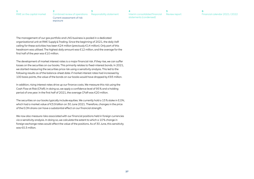**[3](#page-27-0)** [Responsibility statement](#page-27-0) **[2](#page-3-0)** [Combined review of operations](#page-3-0) Current assessment of risk exposure

**[5](#page-44-0)** [Review report](#page-44-0) **[4](#page-28-0)** [Interim consolidated financial](#page-28-0)  [statements \(condensed\)](#page-28-0)

**[6](#page-45-0)** [Financial calendar 2021 / 2022](#page-45-0)

The management of our gas portfolio and LNG business is pooled in a dedicated organisational unit at RWE Supply & Trading. Since the beginning of 2021, the daily VaR ceiling for these activities has been €24 million (previously €14 million). Only part of this headroom was utilised. The highest daily amount was €12 million, and the average for the first half of the year was €10 million.

The development of market interest rates is a major financial risk. If they rise, we can suffer losses on the securities on our books. This primarily relates to fixed-interest bonds. In 2021, we started measuring the securities price risk using a sensitivity analysis. This led to the following results as of the balance-sheet date: if market interest rates had increased by 100 basis points, the value of the bonds on our books would have dropped by €93 million.

In addition, rising interest rates drive up our finance costs. We measure this risk using the Cash Flow at Risk (CFaR). In doing so, we apply a confidence level of 95 % and a holding period of one year. In the first half of 2021, the average CFaR was €20 million.

The securities on our books typically include equities. We currently hold a 15 % stake in E.ON, which had a market value of €3.9 billion on 30 June 2021. Therefore, changes in the price of the E.ON share can have a substantial effect on our financial strength.

We now also measure risks associated with our financial positions held in foreign currencies via a sensitivity analysis. In doing so, we calculate the extent to which a 10 % change in foreign exchange rates would affect the value of the positions. As of 30 June, this sensitivity was €0.3 million.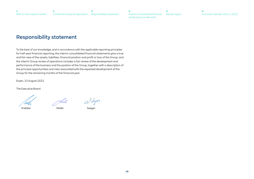**[6](#page-45-0)** [Financial calendar 2021 / 2022](#page-45-0)

# <span id="page-27-0"></span>Responsibility statement

To the best of our knowledge, and in accordance with the applicable reporting principles for half-year financial reporting, the interim consolidated financial statements give a true and fair view of the assets, liabilities, financial position and profit or loss of the Group, and the interim Group review of operations includes a fair review of the development and performance of the business and the position of the Group, together with a description of the principal opportunities and risks associated with the expected development of the Group for the remaining months of the financial year.

Essen, 10 August 2021

The Executive Board

Krebber Müller Seeger

 $\alpha^2$  Sugor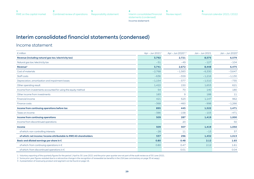

# <span id="page-28-0"></span>Interim consolidated financial statements (condensed)

#### Income statement

| $\epsilon$ million                                                | Apr - Jun 2021 <sup>1</sup> | Apr - Jun 2020 <sup>1,2</sup> | Jan - Jun 2021 | Jan - Jun 2020 <sup>2</sup> |
|-------------------------------------------------------------------|-----------------------------|-------------------------------|----------------|-----------------------------|
| Revenue (including natural gas tax / electricity tax)             | 3,792                       | 2,721                         | 8,575          | 6,579                       |
| Natural gas tax/electricity tax                                   | $-51$                       | $-49$                         | $-127$         | $-104$                      |
| Revenue <sup>3</sup>                                              | 3,741                       | 2,672                         | 8,448          | 6,475                       |
| Cost of materials                                                 | $-2,768$                    | $-1,583$                      | $-6,330$       | $-3,647$                    |
| Staff costs                                                       | $-636$                      | $-559$                        | $-1,216$       | $-1,130$                    |
| Depreciation, amortisation and impairment losses                  | $-1,154$                    | $-377$                        | $-1,510$       | $-735$                      |
| Other operating result                                            | 1,422                       | 150                           | 1,653          | 621                         |
| Income from investments accounted for using the equity method     | 54                          | 70                            | 140            | 180                         |
| Other income from investments                                     | 183                         | 9                             | 188            | 11                          |
| <b>Financial income</b>                                           | 421                         | 523                           | 1,147          | 962                         |
| Finance costs                                                     | $-368$                      | $-460$                        | $-998$         | $-1,266$                    |
| Income from continuing operations before tax                      | 895                         | 445                           | 1,522          | 1,471                       |
| Taxes on income                                                   | $-386$                      | $-158$                        | $-103$         | $-471$                      |
| <b>Income from continuing operations</b>                          | 509                         | 287                           | 1,419          | 1,000                       |
| Income from discontinued operations                               |                             | 20                            |                | 50                          |
| <b>Income</b>                                                     | 509                         | 307                           | 1,419          | 1,050                       |
| of which: non-controlling interests                               | $-28$                       | 11                            | $-13$          | 37                          |
| of which: net income / income attributable to RWE AG shareholders | 537                         | 296                           | 1,432          | 1,013                       |
| Basic and diluted earnings per share in $\epsilon$                | 0.80                        | 0.48                          | 2.12           | 1.65                        |
| of which: from continuing operations in €                         | 0.80                        | 0.47                          | 2.12           | 1.61                        |
| of which: from discontinued operations in €                       |                             | 0.01                          |                | 0.04                        |

1 Voluntary reporting of the quarterly figures for the period 1 April to 30 June 2021 and the prior-year quarter are not part of the audit review as of 30 June 2021.

2 Some prior-year figures restated due to a retroactive change in the recognition of renewable tax benefits in the USA (see commentary on [page 35 et seqq.\)](#page-34-0).

3 A presentation of revenue by product and segment can be found on [page 16](#page-15-0).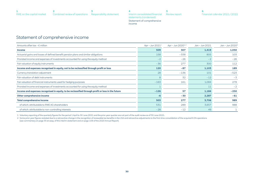<span id="page-29-0"></span>

| RWE on the capital market Combined review of operations Responsibility statement |  |
|----------------------------------------------------------------------------------|--|

**[5](#page-44-0)** [Review report](#page-44-0) **[4](#page-28-0)** [Interim consolidated financial](#page-28-0)  [statements \(condensed\)](#page-28-0) Statement of comprehensive income

# Statement of comprehensive income

| Amounts after tax $- \epsilon$ million                                                            | Apr - Jun 2021 <sup>1</sup> | Apr - Jun 20201,2 | Jan - Jun 2021 | Jan - Jun 2020 <sup>2</sup> |
|---------------------------------------------------------------------------------------------------|-----------------------------|-------------------|----------------|-----------------------------|
| <b>Income</b>                                                                                     | 509                         | 307               | 1,419          | 1,050                       |
| Actuarial gains and losses of defined benefit pension plans and similar obligations               | 158                         | $-338$            | 805            | 103                         |
| Prorated income and expenses of investments accounted for using the equity method                 | $-2$                        | $-26$             | $-2$           | $-26$                       |
| Fair valuation of equity instruments                                                              | $-36$                       | 277               | 300            | 112                         |
| Income and expenses recognised in equity, not to be reclassified through profit or loss           | 120                         | $-87$             | 1,103          | 189                         |
| Currency translation adjustment                                                                   | 28                          | $-136$            | 101            | $-523$                      |
| Fair valuation of debt instruments                                                                | 8                           | 32                | $-12$          | $-3$                        |
| Fair valuation of financial instruments used for hedging purposes                                 | $-163$                      | 161               | 1,084          | 278                         |
| Prorated income and expenses of investments accounted for using the equity method                 |                             |                   | 11             | $-2$                        |
| Income and expenses recognised in equity, to be reclassified through profit or loss in the future | $-126$                      | 57                | 1,184          | $-250$                      |
| Other comprehensive income                                                                        | $-6$                        | $-30$             | 2,287          | $-61$                       |
| <b>Total comprehensive income</b>                                                                 | 503                         | 277               | 3,706          | 989                         |
| of which: attributable to RWE AG shareholders                                                     | 531                         | 289               | 3,657          | 988                         |
| of which: attributable to non-controlling interests                                               | $-28$                       | $-12$             | 49             |                             |

1 Voluntary reporting of the quarterly figures for the period 1 April to 30 June 2021 and the prior-year quarter are not part of the audit review as of 30 June 2021.

2 Some prior-year figures restated due to a retroactive change in the recognition of renewable tax benefits in the USA and retroactive adjustments to the first-time consolidation of the acquired E.ON operations (see commentary on [page 35 et seqq.](#page-34-0) of this interim statement and on page 109 of the 2020 Annual Report).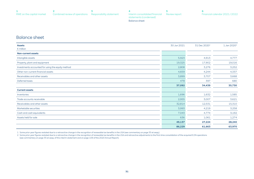<span id="page-30-0"></span>

| RWE on the capital market Combined review of operations Responsibility statement |  |
|----------------------------------------------------------------------------------|--|



#### Balance sheet

| <b>Assets</b>                                     | 30 Jun 2021 | 31 Dec 2020 <sup>1</sup> | 1 Jan 2020 <sup>2</sup> |
|---------------------------------------------------|-------------|--------------------------|-------------------------|
| $\epsilon$ million                                |             |                          |                         |
| <b>Non-current assets</b>                         |             |                          |                         |
| Intangible assets                                 | 5,923       | 4,913                    | 4,777                   |
| Property, plant and equipment                     | 19,325      | 17,902                   | 19,016                  |
| Investments accounted for using the equity method | 2,808       | 3,276                    | 3,252                   |
| Other non-current financial assets                | 4,659       | 4,244                    | 4,337                   |
| Receivables and other assets                      | 3,899       | 3,707                    | 3,668                   |
| Deferred taxes                                    | 478         | 397                      | 680                     |
|                                                   | 37,092      | 34,439                   | 35,730                  |
| <b>Current assets</b>                             |             |                          |                         |
| Inventories                                       | 1,696       | 1,632                    | 1,585                   |
| Trade accounts receivable                         | 2,955       | 3,007                    | 3,621                   |
| Receivables and other assets                      | 32,814      | 12,531                   | 15,310                  |
| Marketable securities                             | 3,993       | 4,219                    | 3,258                   |
| Cash and cash equivalents                         | 7,043       | 4,774                    | 3,192                   |
| Assets held for sale                              | 636         | 1,061                    | 1,274                   |
|                                                   | 49,137      | 27,224                   | 28,240                  |
|                                                   | 86,229      | 61,663                   | 63,970                  |

1 Some prior-year figures restated due to a retroactive change in the recognition of renewable tax benefits in the USA (see commentary on [page 35 et seqq.\)](#page-34-0).

2 Some prior-year figures restated due to a retroactive change in the recognition of renewable tax benefits in the USA and retroactive adjustments to the first-time consolidation of the acquired E.ON operations (see commentary on [page 35 et seqq.](#page-34-0) of this interim statement and on page 109 of the 2020 Annual Report).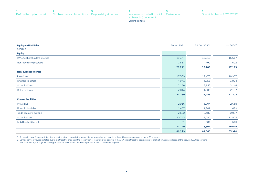| RWE on the capital market Combined review of operations Responsibility statement |  |
|----------------------------------------------------------------------------------|--|

**[5](#page-44-0)** [Review report](#page-44-0) [Interim consolidated financial](#page-28-0)  **[4](#page-28-0)** [statements \(condensed\)](#page-28-0) Balance sheet



| <b>Equity and liabilities</b>  | 30 Jun 2021 | 31 Dec 2020 <sup>1</sup> | 1 Jan 2020 <sup>2</sup> |
|--------------------------------|-------------|--------------------------|-------------------------|
| $\epsilon$ million             |             |                          |                         |
| <b>Equity</b>                  |             |                          |                         |
| RWE AG shareholders' interest  | 19,374      | 16,916                   | 16,617                  |
| Non-controlling interests      | 1,837       | 790                      | 502                     |
|                                | 21,211      | 17,706                   | 17,119                  |
| <b>Non-current liabilities</b> |             |                          |                         |
| Provisions                     | 17,369      | 19,470                   | 18,937                  |
| <b>Financial liabilities</b>   | 4,971       | 3,951                    | 3,924                   |
| Other liabilities              | 2,136       | 2,152                    | 2,144                   |
| Deferred taxes                 | 2,813       | 1,883                    | 2,197                   |
|                                | 27,289      | 27,456                   | 27,202                  |
| <b>Current liabilities</b>     |             |                          |                         |
| Provisions                     | 2,916       | 3,004                    | 2,638                   |
| <b>Financial liabilities</b>   | 1,407       | 1,247                    | 1,689                   |
| Trade accounts payable         | 2,602       | 2,387                    | 2,987                   |
| Other liabilities              | 30,743      | 9,282                    | 11,825                  |
| Liabilities held for sale      | 61          | 581                      | 510                     |
|                                | 37,729      | 16,501                   | 19,649                  |
|                                | 86,229      | 61,663                   | 63,970                  |

1 Some prior-year figures restated due to a retroactive change in the recognition of renewable tax benefits in the USA (see commentary on [page 35 et seqq.\)](#page-34-0).

2 Some prior-year figures restated due to a retroactive change in the recognition of renewable tax benefits in the USA and retroactive adjustments to the first-time consolidation of the acquired E.ON operations (see commentary on [page 35 et seqq.](#page-34-0) of this interim statement and on page 109 of the 2020 Annual Report).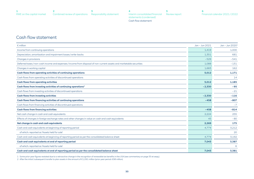**[5](#page-44-0)** [Review report](#page-44-0) **[4](#page-28-0)** [Interim consolidated financial](#page-28-0)  [statements \(condensed\)](#page-28-0) Cash flow statement



### <span id="page-32-0"></span>Cash flow statement

| $\epsilon$ million                                                                                                   | Jan - Jun 2021 | Jan - Jun 2020 <sup>1</sup> |
|----------------------------------------------------------------------------------------------------------------------|----------------|-----------------------------|
| Income from continuing operations                                                                                    | 1,419          | 1,000                       |
| Depreciation, amortisation and impairment losses / write-backs                                                       | 1,351          | 681                         |
| Changes in provisions                                                                                                | $-529$         | $-541$                      |
| Deferred taxes / non-cash income and expenses / income from disposal of non-current assets and marketable securities | 1,088          | $-131$                      |
| Changes in working capital                                                                                           | 1.683          | 162                         |
| Cash flows from operating activities of continuing operations                                                        | 5,012          | 1,171                       |
| Cash flows from operating activities of discontinued operations                                                      |                | 14                          |
| <b>Cash flows from operating activities</b>                                                                          | 5,012          | 1,185                       |
| Cash flows from investing activities of continuing operations <sup>2</sup>                                           | $-2,330$       | $-95$                       |
| Cash flows from investing activities of discontinued operations                                                      |                | $-21$                       |
| <b>Cash flows from investing activities</b>                                                                          | $-2,330$       | $-116$                      |
| Cash flows from financing activities of continuing operations                                                        | $-458$         | $-807$                      |
| Cash flows from financing activities of discontinued operations                                                      |                | $-7$                        |
| <b>Cash flows from financing activities</b>                                                                          | $-458$         | $-814$                      |
| Net cash change in cash and cash equivalents                                                                         | 2,224          | 255                         |
| Effects of changes in foreign exchange rates and other changes in value on cash and cash equivalents                 | 45             | $-80$                       |
| Net change in cash and cash equivalents                                                                              | 2,269          | 175                         |
| Cash and cash equivalents at beginning of reporting period                                                           | 4,774          | 3,212                       |
| of which: reported as 'Assets held for sale'                                                                         |                | 20                          |
| Cash and cash equivalents at beginning of reporting period as per the consolidated balance sheet                     | 4.774          | 3,192                       |
| Cash and cash equivalents at end of reporting period                                                                 | 7,043          | 3,387                       |
| of which: reported as 'Assets held for sale'                                                                         |                | 6                           |
| Cash and cash equivalents at end of reporting period as per the consolidated balance sheet                           | 7,043          | 3,381                       |

1 Some prior-year figures restated due to a retroactive change in the recognition of renewable tax benefits in the USA (see commentary on [page 35 et seqq.\)](#page-34-0).

2 After the initial / subsequent transfer to plan assets in the amount of €1,091 million (prior-year period: €98 million).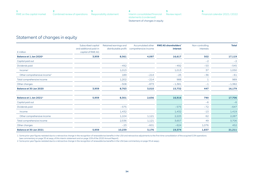**[5](#page-44-0)** [Review report](#page-44-0) **[4](#page-28-0)** [Interim consolidated financial](#page-28-0)  [statements \(condensed\)](#page-28-0) Statement of changes in equity



### <span id="page-33-0"></span>Statement of changes in equity

|                                         | Subscribed capital<br>and additional paid-in | Retained earnings and<br>distributable profit | Accumulated other<br>comprehensive income | <b>RWE AG shareholders'</b><br>interest | Non-controlling<br>interests | <b>Total</b> |
|-----------------------------------------|----------------------------------------------|-----------------------------------------------|-------------------------------------------|-----------------------------------------|------------------------------|--------------|
| $\epsilon$ million                      | capital of RWE AG                            |                                               |                                           |                                         |                              |              |
| Balance at 1 Jan 2020 <sup>1</sup>      | 3,959                                        | 8,561                                         | 4,097                                     | 16,617                                  | 502                          | 17,119       |
| Capital paid out                        |                                              |                                               |                                           |                                         | $-2$                         | $-2$         |
| Dividends paid                          |                                              | $-492$                                        |                                           | $-492$                                  | $-53$                        | $-545$       |
| Income <sup>1</sup>                     |                                              | 1,013                                         |                                           | 1,013                                   | 37                           | 1,050        |
| Other comprehensive income <sup>1</sup> |                                              | 189                                           | $-214$                                    | $-25$                                   | $-36$                        | $-61$        |
| Total comprehensive income              |                                              | 1,202                                         | $-214$                                    | 988                                     | $\mathbf{1}$                 | 989          |
| Other changes                           |                                              | $-508$                                        | $-873$                                    | $-1,381$                                | $-1$                         | $-1,382$     |
| <b>Balance at 30 Jun 2020</b>           | 3,959                                        | 8,763                                         | 3,010                                     | 15,732                                  | 447                          | 16,179       |
| Balance at 1 Jan 2021 <sup>2</sup>      | 5,959                                        | 8,301                                         | 2,656                                     | 16,916                                  | 790                          | 17,706       |
| Capital paid out                        |                                              |                                               |                                           |                                         | $-6$                         | $-6$         |
| Dividends paid                          |                                              | $-575$                                        |                                           | $-575$                                  | $-72$                        | $-647$       |
| Income                                  |                                              | 1,432                                         |                                           | 1,432                                   | $-13$                        | 1,419        |
| Other comprehensive income              |                                              | 1,104                                         | 1,121                                     | 2,225                                   | 62                           | 2,287        |
| Total comprehensive income              |                                              | 2,536                                         | 1,121                                     | 3,657                                   | 49                           | 3,706        |
| Other changes                           |                                              | $-23$                                         | $-601$                                    | $-624$                                  | 1,076                        | 452          |
| <b>Balance at 30 Jun 2021</b>           | 5,959                                        | 10,239                                        | 3,176                                     | 19,374                                  | 1,837                        | 21,211       |

1 Some prior-year figures restated due to a retroactive change in the recognition of renewable tax benefits in the USA and retroactive adjustments to the first-time consolidation of the acquired E.ON operations (see commentary on [page 35 et seqq.](#page-34-0) of this interim statement and on page 109 of the 2020 Annual Report).

2 Some prior-year figures restated due to a retroactive change in the recognition of renewable tax benefits in the USA (see commentary on [page 35 et seqq.\)](#page-34-0).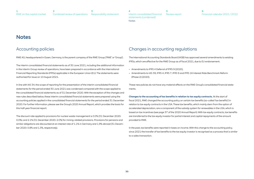# <span id="page-34-0"></span>**Notes**

### Accounting policies

RWE AG, headquartered in Essen, Germany, is the parent company of the RWE Group ('RWE' or 'Group').

The interim consolidated financial statements as of 30 June 2021, including the additional information in the interim Group review of operations, have been prepared in accordance with the International Financial Reporting Standards (IFRSs) applicable in the European Union (EU). The statements were authorised for issue on 10 August 2021.

In line with IAS 34, the scope of reporting for the presentation of the interim consolidated financial statements for the period ended 30 June 2021 was condensed compared with the scope applied to the consolidated financial statements as of 31 December 2020. With the exception of the changes and new rules described below, these interim consolidated financial statements were prepared using the accounting policies applied in the consolidated financial statements for the period ended 31 December 2020. For further information, please see the Group's 2020 Annual Report, which provides the basis for this half-year financial report.

The discount rate applied to provisions for nuclear waste management is 0.0% (31 December 2020: 0.0%), and 2.1% (31 December 2020: 2.0%) for mining-related provisions. Provisions for pensions and similar obligations are discounted at an interest rate of 1.1% in Germany and 1.9% abroad (31 December 2020: 0.8% and 1.3%, respectively).

## Changes in accounting regulations

The International Accounting Standards Board (IASB) has approved several amendments to existing IFRSs, which are effective for the RWE Group as of fiscal 2021, due to EU endorsement:

- Amendments to IFRS 4 Deferral of IFRS 9 (2020),
- Amendments to IAS 39, IFRS 4, IFRS 7, IFRS 9 and IFRS 16 Interest Rate Benchmark Reform (Phase 2) (2020).

These new policies do not have any material effects on the RWE Group's consolidated financial statements.

#### **Changes to the accounting of tax benefits in relation to tax equity contracts.** At the start of

fiscal 2021, RWE changed the accounting policy on certain tax benefits (so-called 'tax benefits') in relation to tax equity contracts in the USA. These tax benefits, which mainly stem from the option of accelerated depreciation, are a component of the subsidy system for renewables in the USA, which is based on tax incentives (see page 37 of the 2020 Annual Report). With tax equity contracts, tax benefits are transferred to the tax equity investor for partial interest and capital repayments of the amount provided to RWE.

In the past, tax benefits were reported in taxes on income. With this change to the accounting policy, since 2021 the transfer of tax benefits to the tax equity investor is recognised as a process that is similar to a sales transaction.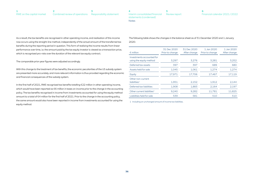As a result, the tax benefits are recognised in other operating income, and realisation of this income now occurs using the straight-line method, independently of the actual amount of the transferred tax benefits during the reporting period in question. This form of realising the income results from linear performance over time, i.e. the amount paid by the tax equity investor is viewed as a transaction price, which is recognised pro-rata over the duration of the relevant tax equity contract.

The comparable prior-year figures were adjusted accordingly.

With this change to the treatment of tax benefits, the economic peculiarities of the US subsidy system are presented more accurately, and more relevant information is thus provided regarding the economic and financial consequences of the subsidy system.

In the first half of 2021, RWE recognised tax benefits totalling €22 million in other operating income, which would have been reported as €6 million in taxes on income prior to the change in the accounting policy. The tax benefits recognised in income from investments accounted for using the equity method amount to a total of €4 million for the first half of 2021. Prior to the change in the accounting policy, the same amount would also have been reported in income from investments accounted for using the equity method.

The following table shows the changes in the balance sheet as of 31 December 2020 and 1 January 2020:

| $\epsilon$ million                                   | 31 Dec 2020<br>Prior to change | 31 Dec 2020<br>After change | 1. Jan 2020<br>Prior to change | 1. Jan 2020<br>After change |
|------------------------------------------------------|--------------------------------|-----------------------------|--------------------------------|-----------------------------|
| Investments accounted for<br>using the equity method | 3.297                          | 3.276                       | 3.281                          | 3,252                       |
| Deferred tax assets                                  | 397                            | 397                         | 689                            | 680                         |
| Assets held for sale                                 | 1.045                          | 1.061                       | 1.274                          | 1,274                       |
| Equity                                               | 17.971                         | 17.706                      | 17.467                         | 17.119                      |
| Other non-current<br>liabilities <sup>1</sup>        | 1,951                          | 2.152                       | 1,912                          | 2,144                       |
| Deferred tax liabilities                             | 1,908                          | 1,883                       | 2.164                          | 2,197                       |
| Other current liabilities <sup>1</sup>               | 9.240                          | 9.282                       | 11.781                         | 11.825                      |
| Liabilities held for sale                            | 539                            | 581                         | 510                            | 510                         |

1 Including an unchanged amount of income tax liabilities.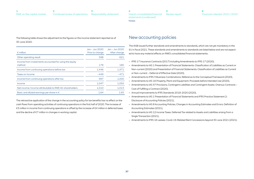| RWE on the capital market | Combined review of operations Responsibility statement |  |
|---------------------------|--------------------------------------------------------|--|

The following table shows the adjustment to the figures on the income statement reported as of

30 June 2020:

| $\epsilon$ million                                               | Jan – Jun 2020<br>Prior to change | Jan - Jun 2020<br>After change |
|------------------------------------------------------------------|-----------------------------------|--------------------------------|
| Other operating result                                           | 598                               | 621                            |
| Income from investments accounted for using the equity<br>method | 178                               | 180                            |
| Income from continuing operations before tax                     | 1.446                             | 1,471                          |
| Taxes on income                                                  | $-449$                            | $-471$                         |
| Income from continuing operations after tax                      | 997                               | 1.000                          |
| Income                                                           | 1.047                             | 1,050                          |
| Net income/income attributable to RWE AG shareholders            | 1,010                             | 1,013                          |
| Basic and diluted earnings per share in $\epsilon$               | 1.64                              | 1.65                           |

The retroactive application of the change in the accounting policy for tax benefits has no effect on the cash flows from operating activities of continuing operations in the first half of 2020. The increase of €3 million in income from continuing operations is offset by the increase of €4 million in deferred taxes and the decline of €7 million in changes in working capital.

## New accounting policies

The IASB issued further standards and amendments to standards, which are not yet mandatory in the EU in fiscal 2021. These standards and amendments to standards are listed below and are not expected to have any material effects on RWE's consolidated financial statements:

- IFRS 17 Insurance Contracts (2017) including Amendments to IFRS 17 (2020),
- Amendments to IAS 1 Presentation of Financial Statements: Classification of Liabilities as Current or Non-current (2020) and Presentation of Financial Statements: Classification of Liabilities as Current or Non-current – Deferral of Effective Date (2020),
- Amendments to IFRS 3 Business Combinations: Reference to the Conceptual Framework (2020),
- Amendments to IAS 16 Property, Plant and Equipment: Proceeds before Intended Use (2020),
- Amendments to IAS 37 Provisions, Contingent Liabilities and Contingent Assets: Onerous Contracts Cost of Fulfilling a Contract (2020),
- Annual Improvements to IFRS Standards 2018-2020 (2020),
- Amendments to IAS 1 Presentation of Financial Statements and IFRS Practice Statement 2: Disclosure of Accounting Policies (2021),
- Amendments to IAS 8 Accounting Policies, Changes in Accounting Estimates and Errors: Definition of Accounting Estimates (2021),
- Amendments to IAS 12 Income Taxes: Deferred Tax related to Assets and Liabilities arising from a Single Transaction (2021),
- Amendments to IFRS 16 Leases: Covid-19-Related Rent Concessions beyond 30 June 2021 (2021).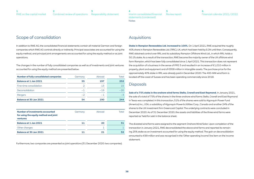### Scope of consolidation

In addition to RWE AG, the consolidated financial statements contain all material German and foreign companies which RWE AG controls directly or indirectly. Principal associates are accounted for using the equity method, and principal joint arrangements are accounted for using the equity method or as joint operations.

The changes in the number of fully consolidated companies as well as of investments and joint ventures accounted for using the equity method are presented below:

| <b>Number of fully consolidated companies</b> | Germany | Abroad | Total |
|-----------------------------------------------|---------|--------|-------|
| <b>Balance at 1 Jan 2021</b>                  | 55      | 197    | 252   |
| First-time consolidation                      |         | 13     | 15    |
| Deconsolidation                               | $-1$    | $-19$  | $-20$ |
| <b>Mergers</b>                                | $-2$    | $-1$   | $-3$  |
| <b>Balance at 30 Jun 2021</b>                 | 54      | 190    | 244   |

| Number of investments accounted<br>for using the equity method and joint<br>ventures | Germany | Abroad | Total |
|--------------------------------------------------------------------------------------|---------|--------|-------|
| <b>Balance at 1 Jan 2021</b>                                                         |         | 20     | 31    |
| Other changes                                                                        |         |        |       |
| <b>Balance at 30 Jun 2021</b>                                                        |         | 21     | 32    |

Furthermore, two companies are presented as joint operations (31 December 2020: two companies).

#### Acquisitions

**Stake in Rampion Renewables Ltd. increased to 100%.** On 1 April 2021, RWE acquired the roughly 40% share in Rampion Renewables Ltd. ('RRL'), UK, which had been held by E.ON until then. Consequently, RWE obtained control over RRL and its subsidiary Rampion Offshore Wind Ltd., in which RRL holds a 50.1% stake. As a result of the transaction, RWE became the majority owner of the UK offshore wind farm Rampion, which has been fully consolidated since 1 April 2021. This transaction does not represent the acquisition of a business in the sense of IFRS 3 and resulted in an increase of €1,010 million in property, plant and equipment and of €958 million in intangible assets. The purchase price for the approximately 40% stake in RRL was already paid in December 2020. The 400-MW wind farm is located off the coast of Sussex and has been operating commercially since 2018.

#### **Disposals**

**Sale of a 75% stake in the onshore wind farms Stella, Cranell and East Raymond.** In January 2021, the sale of a total of 75% of the shares in the three onshore wind farms Stella, Cranell and East Raymond in Texas was completed. In this transaction, 51% of the shares were sold to Algonquin Power Fund (America) Inc., USA, a subsidiary of Algonquin Power & Utilities Corp., Canada and another 24% of the shares to the UK investment firm Greencoat Capital. The underlying contracts were concluded in December 2020. As of 31 December 2020, the assets and liabilities of the three wind farms were reported as 'held for sale' in the balance sheet.

The divested wind farms were assigned to the segment Onshore Wind/Solar. Upon completion of the transaction in January 2021, RWE deconsolidated the above wind farms and reported its remaining 25% stake as an investment accounted for using the equity method. The gain on deconsolidation amounted to €99 million and was recognised in the 'Other operating income' line item on the income statement.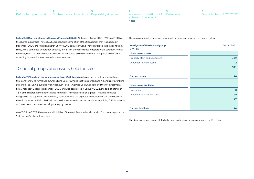| RWE on the capital market Combined review of operations Responsibility statement |  |
|----------------------------------------------------------------------------------|--|

Sale of 100% of the shares in Energies France to KELAG. At the end of April 2021, RWE sold 100% of The main groups of assets and liabilities of the disposal group are presented below: the shares in Energies France S.A.S., France. With completion of the transaction that was agreed in December 2020, the Austrian energy utility KELAG acquired twelve French hydroelectric stations from RWE, with a combined generation capacity of 45 MW. Energies France was part of the segment Hydro/ Biomass/Gas. The gain on deconsolidation amounted to €9 million and was recognised in the 'Other operating income' line item on the income statement.

#### Disposal groups and assets held for sale

**Sale of a 75% stake in the onshore wind farm West Raymond.** As part of the sale of a 75% stake in the three onshore wind farms Stella, Cranell and East Raymond that was agreed with Algonquin Power Fund (America) Inc., USA, a subsidiary of Algonquin Power & Utilities Corp., Canada, and the UK investment firm Greencoat Capital in December 2020 and was completed in January 2021, the sale of a total of 75 % of the shares in the onshore wind farm West Raymond was also agreed. This wind farm was assigned to the segment Onshore Wind/Solar. Following the expected completion of the transaction in the third quarter of 2021, RWE will deconsolidate the wind farm and report its remaining 25% interest as an investment accounted for using the equity method.

As of 30 June 2021, the assets and liabilities of the West Raymond onshore wind farm were reported as 'held for sale' in the balance sheet.

| Key figures of the disposal group<br>$\epsilon$ million | 30 Jun 2021    |
|---------------------------------------------------------|----------------|
| <b>Non-current assets</b>                               |                |
| Property, plant and equipment                           | 319            |
| Other non-current assets                                | $\overline{2}$ |
|                                                         | 321            |
|                                                         |                |
| <b>Current assets</b>                                   | 16             |
|                                                         |                |
| <b>Non-current liabilities</b>                          |                |
| <b>Provisions</b>                                       | 8              |
| Other non-current liabilities                           | 39             |
|                                                         | 47             |
|                                                         |                |
| <b>Current liabilities</b>                              | 14             |

The disposal group's accumulated other comprehensive income amounted to €4 million.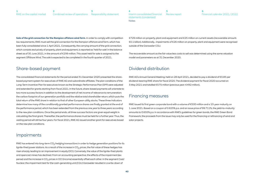<span id="page-39-0"></span>**Sale of the grid connection for the Rampion offshore wind farm.** In order to comply with competition law requirements, RWE must sell the grid connection for the Rampion offshore wind farm, which has been fully consolidated since 1 April 2021. Consequently, the carrying amount of the grid connection, which consists exclusively of property, plant and equipment, is reported as 'held for sale' in the balance sheet as of 30 June 2021, in the amount of €299 million. This asset held for sale is assigned to the segment Offshore Wind. The sale is expected to be completed in the fourth quarter of 2021.

#### Share-based payment

The consolidated financial statements for the period ended 31 December 2020 presented the sharebased payment system for executives of RWE AG and subordinate affiliates. The plan conditions of the Long-Term Incentive Plan for executives known as the Strategic Performance Plan (SPP) were adjusted and extended for grants starting from fiscal 2021. In the future, share-based payments will orientate to two more success factors in addition to the development of net income of relevance to remuneration: the carbon footprint of our generation portfolio and the relative total shareholder return, which puts the total return of the RWE share in relation to that of other European utility stocks. These three indicators determine how many of the conditionally granted performance shares are finally granted at the end of the performance period, which has been extended from the previous one year to three years according to the new plan conditions. Once the period ends, all three success factors are given equal weight in calculating the final grant. Thereafter, the performance shares must be held for a further year. Thus, the vesting period will still be four years. For fiscal 2021, RWE AG issued another grant for executives based on the new plan conditions.

#### Impairments

RWE has entered into long-term  $CO<sub>2</sub>$  hedging transactions in order to hedge generation positions for its lignite-fired power stations. As a result of the increase in  $CO<sub>2</sub>$  prices, the fair value of these hedges has risen sharply, leading to an improvement in equity (OCI). Conversely, the value of the lignite-fired plants and opencast mines has declined. From an accounting perspective, the effects of the impairment (expense) and the increase in  $CO<sub>2</sub>$  prices in OCI (income) essentially offset each other. In the segment Coal/ Nuclear, the impairment test for the cash-generating unit (CGU) Garzweiler resulted in a write-down of

€729 million on property, plant and equipment and €25 million on current assets (recoverable amount: €0.1 billion). Additionally, impairments of €26 million on property, plant and equipment were recognised outside of the Garzweiler CGU.

The recoverable amount as the fair value less costs to sell was determined using the same valuation model and parameters as at 31 December 2020.

#### Dividend distribution

RWE AG's Annual General Meeting, held on 28 April 2021, decided to pay a dividend of €0.85 per dividend-bearing RWE share for fiscal 2020. The dividend payment for fiscal 2020 occurred on 3 May 2021 and totalled €575 million (previous year: €492 million).

#### Financing measures

RWE issued its first green corporate bond with a volume of €500 million and a 10-year maturity on 1 June 2021. Based on a coupon of 0.625% p.a. and an issue price of 99.711%, the yield-to-maturity amounts to 0.655% p.a. In accordance with RWE's guidelines for green bonds, the RWE Green Bond Framework, the proceeds from the issue may only be used for the financing or refinancing of wind and solar projects.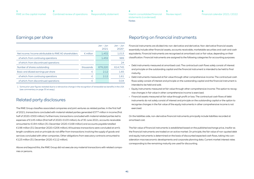| RWE on the capital market Combined review of operations Responsibility statement |  |
|----------------------------------------------------------------------------------|--|

|                                                       |                    | $Jan - Jun$<br>2021 | $Jan - Jun$<br>2020 <sup>1</sup> |
|-------------------------------------------------------|--------------------|---------------------|----------------------------------|
| Net income/income attributable to RWE AG shareholders | $\epsilon$ million | 1.432               | 1.013                            |
| of which: from continuing operations                  |                    | 1,432               | 989                              |
| of which: from discontinued operations                |                    |                     | 24                               |
| Number of shares outstanding                          | thousands          | 676,220             | 614.745                          |
| Basic and diluted earnings per share                  | €                  | 2.12                | 1.65                             |
| of which: from continuing operations                  | €                  | 212                 | 1.61                             |
| of which: from discontinued operations                | €                  |                     |                                  |

1 Some prior-year figures restated due to a retroactive change in the recognition of renewable tax benefits in the USA (see commentary on [page 35 et seqq.](#page-34-0)).

#### Related party disclosures

The RWE Group classifies associated companies and joint ventures as related parties. In the first half of 2021, transactions concluded with material related parties generated €377 million in income (first half of 2020: €300 million). Furthermore, transactions concluded with material related parties led to expenses of €145 million (first half of 2020: €103 million). As of 30 June 2021, accounts receivable amounted to €194 million (31 December 2020: €168 million) and accounts payable totalled €198 million (31 December 2020: €206 million). All business transactions were concluded at arm's length conditions and on principle do not differ from transactions involving the supply of goods and services concluded with other companies. Other obligations from executory contracts amounted to €123 million (31 December 2020: €112 million).

Above and beyond this, the RWE Group did not execute any material transactions with related companies or persons.

# Earnings per share Reporting on financial instruments

Financial instruments are divided into non-derivative and derivative. Non-derivative financial assets essentially include other financial assets, accounts receivable, marketable securities and cash and cash equivalents. Financial instruments are recognised at amortised cost or fair value, depending on their classification. Financial instruments are assigned to the following categories for accounting purposes:

- Debt instruments measured at amortised cost: The contractual cash flows solely consist of interest and principle on the outstanding capital and the financial instrument is intended to be held to final maturity.
- Debt instruments measured at fair value through other comprehensive income: The contractual cash flows solely consist of interest and principle on the outstanding capital and the financial instrument is intended to be held and sold.
- Equity instruments measured at fair value through other comprehensive income: The option to recognise changes in fair value in other comprehensive income is exercised.
- Financial assets measured at fair value through profit or loss: The contractual cash flows of debt instruments do not solely consist of interest and principle on the outstanding capital or the option to recognise changes in the fair value of the equity instruments in other comprehensive income is not exercised.

On the liabilities side, non-derivative financial instruments principally include liabilities recorded at amortised cost.

The fair value of financial instruments is established based on the published exchange price, insofar as the financial instruments are traded on an active market. On principle, the fair value of non-quoted debt and equity instruments is determined on the basis of discounted expected cash flows, taking into consideration macroeconomic developments and corporate planning data. Current market interest rates corresponding to the remaining maturity are used for discounting.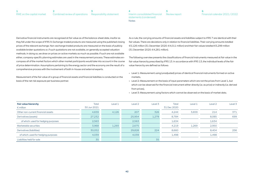#### **[1](#page-2-0)** [RWE on the capital market](#page-2-0) **[3](#page-27-0)** Combined review of operations [Responsibility statement](#page-27-0) **[2](#page-3-0)**

**[5](#page-44-0)** [Review report](#page-44-0) **[4](#page-28-0)** [Interim consolidated financial](#page-28-0)  [statements \(condensed\)](#page-28-0) Notes

Derivative financial instruments are recognised at fair value as of the balance-sheet date, insofar as they fall under the scope of IFRS 9. Exchange-traded products are measured using the published closing prices of the relevant exchange. Non-exchange traded products are measured on the basis of publicly available broker quotations or, if such quotations are not available, on generally accepted valuation methods. In doing so, we draw on prices on active markets as much as possible. If such are not available either, company-specific planning estimates are used in the measurement process. These estimates encompass all of the market factors which other market participants would take into account in the course of price determination. Assumptions pertaining to the energy sector and the economy are the result of a comprehensive process with the involvement of both in-house and external experts.

Measurement of the fair value of a group of financial assets and financial liabilities is conducted on the basis of the net risk exposure per business partner.

As a rule, the carrying amounts of financial assets and liabilities subject to IFRS 7 are identical with their fair values. There are deviations only in relation to financial liabilities. Their carrying amounts totalled €5,126 million (31 December 2020: €4,011 million) and their fair values totalled €5,299 million (31 December 2020: €4,281 million).

The following overview presents the classifications of financial instruments measured at fair value in the fair value hierarchy prescribed by IFRS 13. In accordance with IFRS 13, the individual levels of the fair value hierarchy are defined as follows:

- Level 1: Measurement using (unadjusted) prices of identical financial instruments formed on active markets,
- Level 2: Measurement on the basis of input parameters which are not the prices from Level 1, but which can be observed for the financial instrument either directly (i.e. as price) or indirectly (i.e. derived from prices),
- Level 3: Measurement using factors which cannot be observed on the basis of market data.

| <b>Fair value hierarchy</b><br>$\epsilon$ million | <b>Total</b><br>30 Jun 2021 | Level 1 | Level <sub>2</sub> | Level <sub>3</sub> | <b>Total</b><br>31 Dec 2020 | Level 1 | Level <sub>2</sub> | Level 3 |
|---------------------------------------------------|-----------------------------|---------|--------------------|--------------------|-----------------------------|---------|--------------------|---------|
| Other non-current financial assets                | 4,659                       | 4,126   | 207                | 326                | 4,244                       | 3,659   | 214                | 371     |
| Derivatives (assets)                              | 27,232                      |         | 25,954             | 1,278              | 8,784                       |         | 8.085              | 699     |
| of which: used for hedging purposes               | 2,563                       |         | 2,563              |                    | 1,634                       |         | 1,634              |         |
| Marketable securities                             | 3,968                       | 1,293   | 2,675              |                    | 4,219                       | 1,269   | 2,950              |         |
| Derivatives (liabilities)                         | 30,052                      |         | 29,828             | 224                | 8,660                       |         | 8,404              | 256     |
| of which: used for hedging purposes               | 4,039                       |         | 4,039              |                    | 1,498                       |         | 1,498              |         |
| Liabilities held for sale                         | 35                          |         |                    | 35                 |                             |         |                    |         |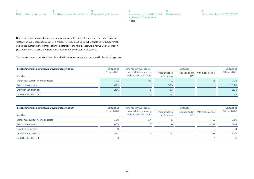Due to the increased number of price quotations on active markets, securities with a fair value of €30 million (31 December 2020: €43 million) were reclassified from Level 2 to Level 1. Conversely, due to a reduction in the number of price quotations, financial assets with a fair value of €7 million (31 December 2020: €93 million) were reclassified from Level 1 to Level 2.

The development of the fair values of Level 3 financial instruments is presented in the following table:

| Level 3 financial instruments: Development in 2021 | <b>Balance at</b> | Changes in the scope of                          | Changes                         |            | Balance at                       |             |
|----------------------------------------------------|-------------------|--------------------------------------------------|---------------------------------|------------|----------------------------------|-------------|
| $\epsilon$ million                                 | 1 Jan 2021        | consolidation, currency<br>adjustments and other | Recognised in<br>profit or loss | <b>OCI</b> | Recognised in With a cash effect | 30 Jun 2021 |
| Other non-current financial assets                 | 371               | $-81$                                            |                                 |            | 35                               | 326         |
| Derivatives (assets)                               | 699               |                                                  | 579                             |            |                                  | 1,278       |
| Derivatives (liabilities)                          | 256               |                                                  | $-33$                           |            |                                  | 224         |
| Liabilities held for sale                          |                   |                                                  | 34                              |            |                                  | 35          |

| Level 3 financial instruments: Development in 2020 | Balance at<br>Changes in the scope of                          |                                 |            | <b>Balance at</b>                |             |     |
|----------------------------------------------------|----------------------------------------------------------------|---------------------------------|------------|----------------------------------|-------------|-----|
| $\epsilon$ million                                 | consolidation, currency<br>1 Jan 2020<br>adjustments and other | Recognised in<br>profit or loss | <b>OCI</b> | Recognised in With a cash effect | 30 Jun 2020 |     |
| Other non-current financial assets                 | 350                                                            | $-34$                           | -5         |                                  | 19          | 330 |
| Derivatives (assets)                               | 665                                                            |                                 |            |                                  | $-129$      | 544 |
| Assets held for sale                               |                                                                |                                 |            |                                  |             | 9   |
| Derivatives (liabilities)                          | 577                                                            |                                 | 44         |                                  | $-188$      | 434 |
| Liabilities held for sale                          | $\Delta$                                                       |                                 |            |                                  |             |     |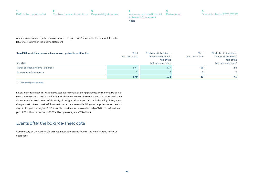| RWE on the capital market Combined review of operations Responsibility statement |  |
|----------------------------------------------------------------------------------|--|

Notes

Amounts recognised in profit or loss generated through Level 3 financial instruments relate to the

following line items on the income statement:

| Level 3 financial instruments: Amounts recognised in profit or loss | Total<br>Jan – Jun 2021 | Of which: attributable to<br>financial instruments<br>held at the | Total<br>Jan – Jun 2020 <del>1</del> | Of which: attributable to<br>financial instruments<br>held at the |
|---------------------------------------------------------------------|-------------------------|-------------------------------------------------------------------|--------------------------------------|-------------------------------------------------------------------|
| $\epsilon$ million                                                  |                         | balance-sheet date                                                |                                      | balance-sheet date <sup>1</sup>                                   |
| Other operating income/expenses                                     | 577                     | 577                                                               | $-38$                                | $-38$                                                             |
| Income from investments                                             |                         |                                                                   | $-5$                                 | $-5$                                                              |
|                                                                     | 579                     | 574                                                               | -43                                  | $-43$                                                             |

1 Prior-year figures restated.

Level 3 derivative financial instruments essentially consist of energy purchase and commodity agreements, which relate to trading periods for which there are no active markets yet. The valuation of such depends on the development of electricity, oil and gas prices in particular. All other things being equal, rising market prices cause the fair values to increase, whereas declining market prices cause them to drop. A change in pricing by +/− 10% would cause the market value to rise by €102 million (previous year: €63 million) or decline by €102 million (previous year: €63 million).

#### Events after the balance-sheet date

Commentary on events after the balance-sheet date can be found in the interim Group review of operations.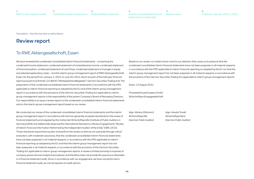<span id="page-44-0"></span>Translation - the German text is authoritative

# Review report

#### To RWE Aktiengesellschaft, Essen

We have reviewed the condensed consolidated interim financial statements – comprising the condensed income statement, condensed statement of comprehensive income, condensed statement of financial position, condensed statement of cash flows, condensed statement of changes in equity and selected explanatory notes – and the interim group management report of RWE Aktiengesellschaft, Essen, for the period from January 1, 2021 to June 30, 2021 which are part of the half-year financial report pursuant to § (Article) 115 WpHG ("Wertpapierhandelsgesetz": German Securities Trading Act). The preparation of the condensed consolidated interim financial statements in accordance with the IFRS applicable to interim financial reporting as adopted by the EU and of the interim group management report in accordance with the provisions of the German Securities Trading Act applicable to interim group management reports is the responsibility of the parent Company's Board of Managing Directors. Our responsibility is to issue a review report on the condensed consolidated interim financial statements and on the interim group management report based on our review.

We conducted our review of the condensed consolidated interim financial statements and the interim group management report in accordance with German generally accepted standards for the review of financial statements promulgated by the Institut der Wirtschaftsprüfer (Institute of Public Auditors in Germany) (IDW) and additionally observed the International Standard on Review Engagements "Review of Interim Financial Information Performed by the Independent Auditor of the Entity" (ISRE 2410). Those standards require that we plan and perform the review so that we can preclude through critical evaluation, with moderate assurance, that the condensed consolidated interim financial statements have not been prepared, in all material respects, in accordance with the IFRS applicable to interim financial reporting as adopted by the EU and that the interim group management report has not been prepared, in all material respects, in accordance with the provisions of the German Securities Trading Act applicable to interim group management reports. A review is limited primarily to inquiries of company personnel and analytical procedures and therefore does not provide the assurance attainable in a financial statement audit. Since, in accordance with our engagement, we have not performed a financial statement audit, we cannot express an audit opinion.

Based on our review, no matters have come to our attention that cause us to presume that the condensed consolidated interim financial statements have not been prepared, in all material respects, in accordance with the IFRS applicable to interim financial reporting as adopted by the EU nor that the interim group management report has not been prepared, in all material respects, in accordance with the provisions of the German Securities Trading Act applicable to interim group management reports.

Essen, 10 August 2021

PricewaterhouseCoopers GmbH Wirtschaftsprüfungsgesellschaft

(sign. Markus Dittmann) (sign. Aissata Touré) Wirtschaftsprüfer Wirtschaftsprüferin (German Public Auditor) (German Public Auditor)